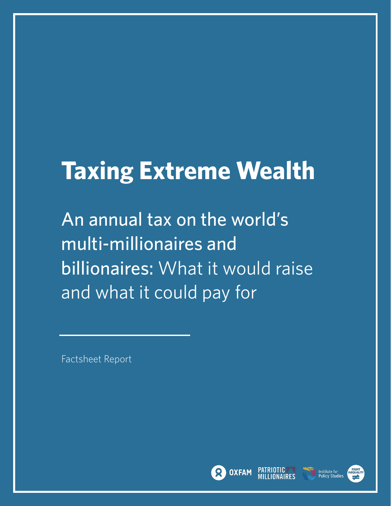# **Taxing Extreme Wealth**

An annual tax on the world's multi-millionaires and billionaires: What it would raise and what it could pay for

Factsheet Report





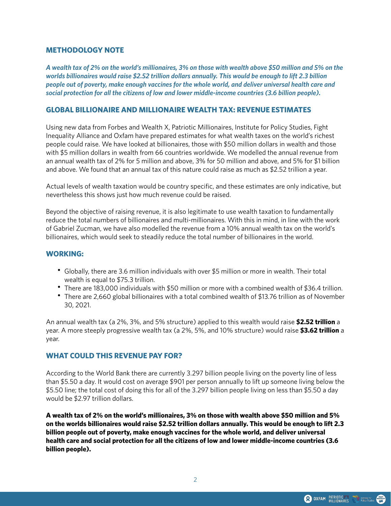#### **METHODOLOGY NOTE**

*A wealth tax of 2% on the world's millionaires, 3% on those with wealth above \$50 million and 5% on the worlds billionaires would raise \$2.52 trillion dollars annually. This would be enough to lift 2.3 billion people out of poverty, make enough vaccines for the whole world, and deliver universal health care and social protection for all the citizens of low and lower middle-income countries (3.6 billion people).*

#### **GLOBAL BILLIONAIRE AND MILLIONAIRE WEALTH TAX: REVENUE ESTIMATES**

Using new data from Forbes and Wealth X, Patriotic Millionaires, Institute for Policy Studies, Fight Inequality Alliance and Oxfam have prepared estimates for what wealth taxes on the world's richest people could raise. We have looked at billionaires, those with \$50 million dollars in wealth and those with \$5 million dollars in wealth from 66 countries worldwide. We modelled the annual revenue from an annual wealth tax of 2% for 5 million and above, 3% for 50 million and above, and 5% for \$1 billion and above. We found that an annual tax of this nature could raise as much as \$2.52 trillion a year.

Actual levels of wealth taxation would be country specific, and these estimates are only indicative, but nevertheless this shows just how much revenue could be raised.

Beyond the objective of raising revenue, it is also legitimate to use wealth taxation to fundamentally reduce the total numbers of billionaires and multi-millionaires. With this in mind, in line with the work of Gabriel Zucman, we have also modelled the revenue from a 10% annual wealth tax on the world's billionaires, which would seek to steadily reduce the total number of billionaires in the world.

#### **WORKING:**

- Globally, there are 3.6 million individuals with over \$5 million or more in wealth. Their total wealth is equal to \$75.3 trillion.
- There are 183,000 individuals with \$50 million or more with a combined wealth of \$36.4 trillion.
- There are 2,660 global billionaires with a total combined wealth of \$13.76 trillion as of November 30, 2021.

An annual wealth tax (a 2%, 3%, and 5% structure) applied to this wealth would raise **\$2.52 trillion** a year. A more steeply progressive wealth tax (a 2%, 5%, and 10% structure) would raise **\$3.62 trillion** a year.

#### **WHAT COULD THIS REVENUE PAY FOR?**

According to the World Bank there are currently 3.297 billion people living on the poverty line of less than \$5.50 a day. It would cost on average \$901 per person annually to lift up someone living below the \$5.50 line; the total cost of doing this for all of the 3.297 billion people living on less than \$5.50 a day would be \$2.97 trillion dollars.

**A wealth tax of 2% on the world's millionaires, 3% on those with wealth above \$50 million and 5% on the worlds billionaires would raise \$2.52 trillion dollars annually. This would be enough to lift 2.3 billion people out of poverty, make enough vaccines for the whole world, and deliver universal health care and social protection for all the citizens of low and lower middle-income countries (3.6 billion people).**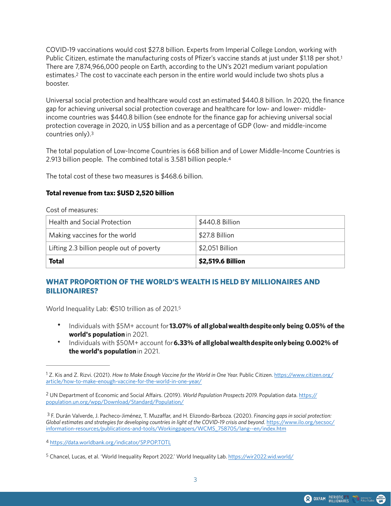<span id="page-2-6"></span><span id="page-2-5"></span>COVID-19 vaccinations would cost \$27.8 billion. Experts from Imperial College London, working with Public Citizen, estimate the manufacturing costs of Pfizer's vaccine stands at just under \$[1](#page-2-0).18 per shot.<sup>1</sup> There are 7,874,966,000 people on Earth, according to the UN's 2021 medium variant population estimates.<sup>[2](#page-2-1)</sup> The cost to vaccinate each person in the entire world would include two shots plus a booster.

Universal social protection and healthcare would cost an estimated \$440.8 billion. In 2020, the finance gap for achieving universal social protection coverage and healthcare for low- and lower- middleincome countries was \$440.8 billion (see endnote for the finance gap for achieving universal social protection coverage in 2020, in US\$ billion and as a percentage of GDP (low- and middle-income countries only).[3](#page-2-2)

<span id="page-2-8"></span><span id="page-2-7"></span>The total population of Low-Income Countries is 668 billion and of Lower Middle-Income Countries is 2.913 billion people. The combined total is 3.581 billion people[.4](#page-2-3)

The total cost of these two measures is \$468.6 billion.

#### **Total revenue from tax: \$USD 2,520 billion**

Cost of measures:

| <b>Health and Social Protection</b>       | \$440.8 Billion   |
|-------------------------------------------|-------------------|
| Making vaccines for the world             | \$27.8 Billion    |
| Lifting 2.3 billion people out of poverty | \$2,051 Billion   |
| Total                                     | \$2,519.6 Billion |

# **WHAT PROPORTION OF THE WORLD'S WEALTH IS HELD BY MILLIONAIRES AND BILLIONAIRES?**

World Inequality Lab: €[5](#page-2-4)10 trillion as of 2021.<sup>5</sup>

- <span id="page-2-9"></span>• Individuals with \$5M+ account for **13.07% of allglobalwealthdespiteonly being 0.05% of the world's population**in 2021.
- Individuals with \$50M+ account for**6.33% of allglobalwealthdespiteonlybeing 0.002% of the world's population**in 2021.

<span id="page-2-0"></span><sup>&</sup>lt;sup>1</sup> Z. Kis and Z. Rizvi. (2021). How to Make Enough Vaccine for the World in One Year. Public Citizen. [https://www.citizen.org/](https://www.citizen.org/article/how-to-make-enough-vaccine-for-the-world-in-one-year/) [article/how-to-make-enough-vaccine-for-the-world-in-one-year/](https://www.citizen.org/article/how-to-make-enough-vaccine-for-the-world-in-one-year/)

<span id="page-2-1"></span>UN Department of Economic and Social Affairs. (2019). *World Population Prospects 2019.* Population data. [https://](https://population.un.org/wpp/Download/Standard/Population/) [2](#page-2-6) [population.un.org/wpp/Download/Standard/Population/](https://population.un.org/wpp/Download/Standard/Population/)

<span id="page-2-2"></span>F. Durán Valverde, J. Pacheco-Jiménez, T. Muzaffar, and H. Elizondo-Barboza. (2020). *Financing gaps in social protection:* [3](#page-2-7) Global estimates and strategies for developing countries in light of the COVID-19 crisis and beyond. [https://www.ilo.org/secsoc/](https://www.ilo.org/secsoc/information-resources/publications-and-tools/Workingpapers/WCMS_758705/lang--en/index.htm) [information-resources/publications-and-tools/Workingpapers/WCMS\\_758705/lang--en/index.htm](https://www.ilo.org/secsoc/information-resources/publications-and-tools/Workingpapers/WCMS_758705/lang--en/index.htm)

<span id="page-2-3"></span><https://data.worldbank.org/indicator/SP.POP.TOTL> [4](#page-2-8)

<span id="page-2-4"></span><sup>&</sup>lt;sup>5</sup> Chancel, Lucas, et al. 'World Inequality Report 2022.' World Inequality Lab. <https://wir2022.wid.world/>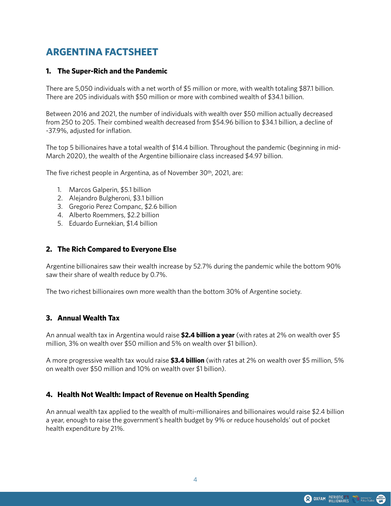# **ARGENTINA FACTSHEET**

#### **1. The Super-Rich and the Pandemic**

There are 5,050 individuals with a net worth of \$5 million or more, with wealth totaling \$87.1 billion. There are 205 individuals with \$50 million or more with combined wealth of \$34.1 billion.

Between 2016 and 2021, the number of individuals with wealth over \$50 million actually decreased from 250 to 205. Their combined wealth decreased from \$54.96 billion to \$34.1 billion, a decline of -37.9%, adjusted for inflation.

The top 5 billionaires have a total wealth of \$14.4 billion. Throughout the pandemic (beginning in mid-March 2020), the wealth of the Argentine billionaire class increased \$4.97 billion.

The five richest people in Argentina, as of November 30th, 2021, are:

- 1. Marcos Galperin, \$5.1 billion
- 2. Alejandro Bulgheroni, \$3.1 billion
- 3. Gregorio Perez Companc, \$2.6 billion
- 4. Alberto Roemmers, \$2.2 billion
- 5. Eduardo Eurnekian, \$1.4 billion

#### **2. The Rich Compared to Everyone Else**

Argentine billionaires saw their wealth increase by 52.7% during the pandemic while the bottom 90% saw their share of wealth reduce by 0.7%.

The two richest billionaires own more wealth than the bottom 30% of Argentine society.

# **3. Annual Wealth Tax**

An annual wealth tax in Argentina would raise **\$2.4 billion a year** (with rates at 2% on wealth over \$5 million, 3% on wealth over \$50 million and 5% on wealth over \$1 billion).

A more progressive wealth tax would raise **\$3.4 billion** (with rates at 2% on wealth over \$5 million, 5% on wealth over \$50 million and 10% on wealth over \$1 billion).

# **4. Health Not Wealth: Impact of Revenue on Health Spending**

An annual wealth tax applied to the wealth of multi-millionaires and billionaires would raise \$2.4 billion a year, enough to raise the government's health budget by 9% or reduce households' out of pocket health expenditure by 21%.

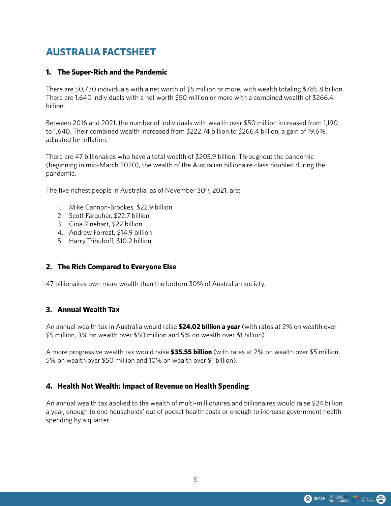# **AUSTRALIA FACTSHEET**

# **1. The Super-Rich and the Pandemic**

There are 50,730 individuals with a net worth of \$5 million or more, with wealth totaling \$785.8 billion. There are 1,640 individuals with a net worth \$50 million or more with a combined wealth of \$266.4 billion.

Between 2016 and 2021, the number of individuals with wealth over \$50 million increased from 1,190 to 1,640. Their combined wealth increased from \$222.74 billion to \$266.4 billion, a gain of 19.6%, adiusted for inflation.

There are 47 billionaires who have a total wealth of \$203.9 billion. Throughout the pandemic (beginning in mid-March 2020), the wealth of the Australian billionaire class doubled during the pandemic.

The five richest people in Australia, as of November 30th, 2021, are:

- 1. Mike Cannon-Brookes, \$22.9 billion
- 2. Scott Farquhar, \$22.7 billion
- 3. Gina Rinehart, \$22 billion
- 4. Andrew Forrest, \$14.9 billion
- 5. Harry Tribuboff, \$10.2 billion

# **2. The Rich Compared to Everyone Else**

47 billionaires own more wealth than the bottom 30% of Australian society.

# **3. Annual Wealth Tax**

An annual wealth tax in Australia would raise **\$24.02 billion a year** (with rates at 2% on wealth over \$5 million, 3% on wealth over \$50 million and 5% on wealth over \$1 billion).

A more progressive wealth tax would raise **\$35.55 billion** (with rates at 2% on wealth over \$5 million, 5% on wealth over \$50 million and 10% on wealth over \$1 billion).

# **4. Health Not Wealth: Impact of Revenue on Health Spending**

An annual wealth tax applied to the wealth of multi-millionaires and billionaires would raise \$24 billion a year, enough to end households' out of pocket health costs or enough to increase government health spending by a quarter.

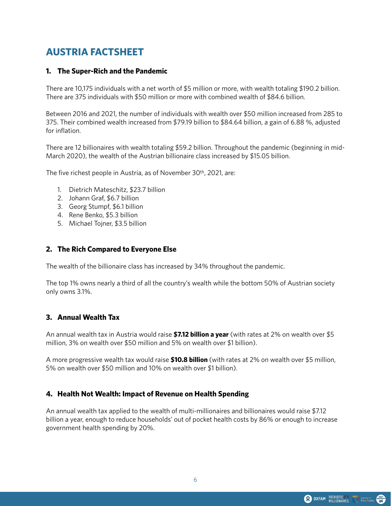# **AUSTRIA FACTSHEET**

#### **1. The Super-Rich and the Pandemic**

There are 10,175 individuals with a net worth of \$5 million or more, with wealth totaling \$190.2 billion. There are 375 individuals with \$50 million or more with combined wealth of \$84.6 billion.

Between 2016 and 2021, the number of individuals with wealth over \$50 million increased from 285 to 375. Their combined wealth increased from \$79.19 billion to \$84.64 billion, a gain of 6.88 %, adjusted for inflation.

There are 12 billionaires with wealth totaling \$59.2 billion. Throughout the pandemic (beginning in mid-March 2020), the wealth of the Austrian billionaire class increased by \$15.05 billion.

The five richest people in Austria, as of November 30th, 2021, are:

- 1. Dietrich Mateschitz, \$23.7 billion
- 2. Johann Graf, \$6.7 billion
- 3. Georg Stumpf, \$6.1 billion
- 4. Rene Benko, \$5.3 billion
- 5. Michael Tojner, \$3.5 billion

#### **2. The Rich Compared to Everyone Else**

The wealth of the billionaire class has increased by 34% throughout the pandemic.

The top 1% owns nearly a third of all the country's wealth while the bottom 50% of Austrian society only owns 3.1%.

#### **3. Annual Wealth Tax**

An annual wealth tax in Austria would raise **\$7.12 billion a year** (with rates at 2% on wealth over \$5 million, 3% on wealth over \$50 million and 5% on wealth over \$1 billion).

A more progressive wealth tax would raise **\$10.8 billion** (with rates at 2% on wealth over \$5 million, 5% on wealth over \$50 million and 10% on wealth over \$1 billion).

# **4. Health Not Wealth: Impact of Revenue on Health Spending**

An annual wealth tax applied to the wealth of multi-millionaires and billionaires would raise \$7.12 billion a year, enough to reduce households' out of pocket health costs by 86% or enough to increase government health spending by 20%.

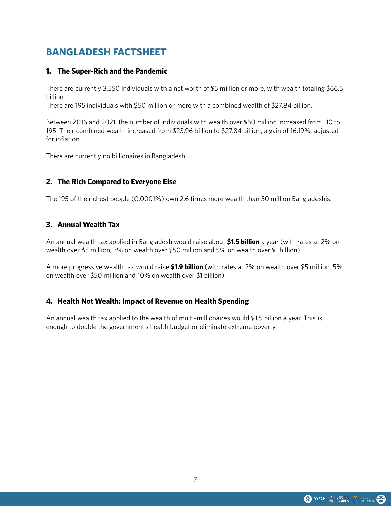# **BANGLADESH FACTSHEET**

# **1. The Super-Rich and the Pandemic**

There are currently 3,550 individuals with a net worth of \$5 million or more, with wealth totaling \$66.5 billion.

There are 195 individuals with \$50 million or more with a combined wealth of \$27.84 billion.

Between 2016 and 2021, the number of individuals with wealth over \$50 million increased from 110 to 195. Their combined wealth increased from \$23.96 billion to \$27.84 billion, a gain of 16.19%, adjusted for inflation.

There are currently no billionaires in Bangladesh.

# **2. The Rich Compared to Everyone Else**

The 195 of the richest people (0.0001%) own 2.6 times more wealth than 50 million Bangladeshis.

# **3. Annual Wealth Tax**

An annual wealth tax applied in Bangladesh would raise about **\$1.5 billion** a year (with rates at 2% on wealth over \$5 million, 3% on wealth over \$50 million and 5% on wealth over \$1 billion).

A more progressive wealth tax would raise **\$1.9 billion** (with rates at 2% on wealth over \$5 million, 5% on wealth over \$50 million and 10% on wealth over \$1 billion).

# **4. Health Not Wealth: Impact of Revenue on Health Spending**

An annual wealth tax applied to the wealth of multi-millionaires would \$1.5 billion a year. This is enough to double the government's health budget or eliminate extreme poverty.

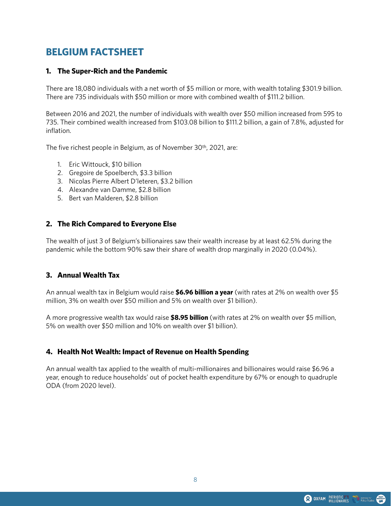# **BELGIUM FACTSHEET**

#### **1. The Super-Rich and the Pandemic**

There are 18,080 individuals with a net worth of \$5 million or more, with wealth totaling \$301.9 billion. There are 735 individuals with \$50 million or more with combined wealth of \$111.2 billion.

Between 2016 and 2021, the number of individuals with wealth over \$50 million increased from 595 to 735. Their combined wealth increased from \$103.08 billion to \$111.2 billion, a gain of 7.8%, adjusted for inflation.

The five richest people in Belgium, as of November 30th, 2021, are:

- 1. Eric Wittouck, \$10 billion
- 2. Gregoire de Spoelberch, \$3.3 billion
- 3. Nicolas Pierre Albert D'leteren, \$3.2 billion
- 4. Alexandre van Damme, \$2.8 billion
- 5. Bert van Malderen, \$2.8 billion

#### **2. The Rich Compared to Everyone Else**

The wealth of just 3 of Belgium's billionaires saw their wealth increase by at least 62.5% during the pandemic while the bottom 90% saw their share of wealth drop marginally in 2020 (0.04%).

#### **3. Annual Wealth Tax**

An annual wealth tax in Belgium would raise **\$6.96 billion a year** (with rates at 2% on wealth over \$5 million, 3% on wealth over \$50 million and 5% on wealth over \$1 billion).

A more progressive wealth tax would raise **\$8.95 billion** (with rates at 2% on wealth over \$5 million, 5% on wealth over \$50 million and 10% on wealth over \$1 billion).

# **4. Health Not Wealth: Impact of Revenue on Health Spending**

An annual wealth tax applied to the wealth of multi-millionaires and billionaires would raise \$6.96 a year, enough to reduce households' out of pocket health expenditure by 67% or enough to quadruple ODA (from 2020 level).

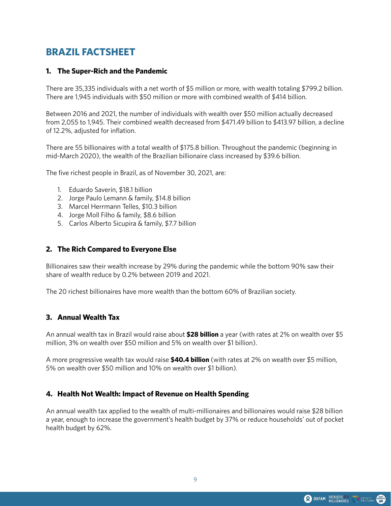# **BRAZIL FACTSHEET**

#### **1. The Super-Rich and the Pandemic**

There are 35,335 individuals with a net worth of \$5 million or more, with wealth totaling \$799.2 billion. There are 1,945 individuals with \$50 million or more with combined wealth of \$414 billion.

Between 2016 and 2021, the number of individuals with wealth over \$50 million actually decreased from 2,055 to 1,945. Their combined wealth decreased from \$471.49 billion to \$413.97 billion, a decline of 12.2%, adjusted for inflation.

There are 55 billionaires with a total wealth of \$175.8 billion. Throughout the pandemic (beginning in mid-March 2020), the wealth of the Brazilian billionaire class increased by \$39.6 billion.

The five richest people in Brazil, as of November 30, 2021, are:

- 1. Eduardo Saverin, \$18.1 billion
- 2. Jorge Paulo Lemann & family, \$14.8 billion
- 3. Marcel Herrmann Telles, \$10.3 billion
- 4. Jorge Moll Filho & family, \$8.6 billion
- 5. Carlos Alberto Sicupira & family, \$7.7 billion

#### **2. The Rich Compared to Everyone Else**

Billionaires saw their wealth increase by 29% during the pandemic while the bottom 90% saw their share of wealth reduce by 0.2% between 2019 and 2021.

The 20 richest billionaires have more wealth than the bottom 60% of Brazilian society.

#### **3. Annual Wealth Tax**

An annual wealth tax in Brazil would raise about **\$28 billion** a year (with rates at 2% on wealth over \$5 million, 3% on wealth over \$50 million and 5% on wealth over \$1 billion).

A more progressive wealth tax would raise **\$40.4 billion** (with rates at 2% on wealth over \$5 million, 5% on wealth over \$50 million and 10% on wealth over \$1 billion).

#### **4. Health Not Wealth: Impact of Revenue on Health Spending**

An annual wealth tax applied to the wealth of multi-millionaires and billionaires would raise \$28 billion a year, enough to increase the government's health budget by 37% or reduce households' out of pocket health budget by 62%.

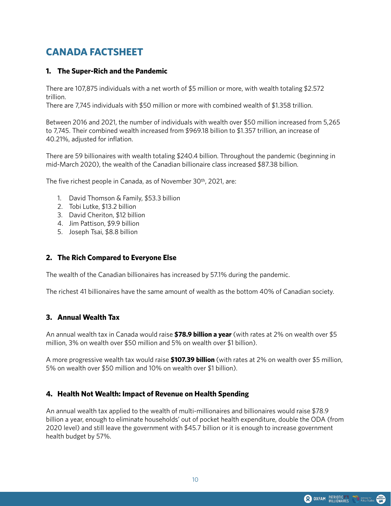# **CANADA FACTSHEET**

#### **1. The Super-Rich and the Pandemic**

There are 107,875 individuals with a net worth of \$5 million or more, with wealth totaling \$2.572 trillion.

There are 7,745 individuals with \$50 million or more with combined wealth of \$1.358 trillion.

Between 2016 and 2021, the number of individuals with wealth over \$50 million increased from 5,265 to 7,745. Their combined wealth increased from \$969.18 billion to \$1.357 trillion, an increase of 40.21%, adjusted for inflation.

There are 59 billionaires with wealth totaling \$240.4 billion. Throughout the pandemic (beginning in mid-March 2020), the wealth of the Canadian billionaire class increased \$87.38 billion.

The five richest people in Canada, as of November 30th, 2021, are:

- 1. David Thomson & Family, \$53.3 billion
- 2. Tobi Lutke, \$13.2 billion
- 3. David Cheriton, \$12 billion
- 4. Jim Pattison, \$9.9 billion
- 5. Joseph Tsai, \$8.8 billion

#### **2. The Rich Compared to Everyone Else**

The wealth of the Canadian billionaires has increased by 57.1% during the pandemic.

The richest 41 billionaires have the same amount of wealth as the bottom 40% of Canadian society.

#### **3. Annual Wealth Tax**

An annual wealth tax in Canada would raise **\$78.9 billion a year** (with rates at 2% on wealth over \$5 million, 3% on wealth over \$50 million and 5% on wealth over \$1 billion).

A more progressive wealth tax would raise **\$107.39 billion** (with rates at 2% on wealth over \$5 million, 5% on wealth over \$50 million and 10% on wealth over \$1 billion).

# **4. Health Not Wealth: Impact of Revenue on Health Spending**

An annual wealth tax applied to the wealth of multi-millionaires and billionaires would raise \$78.9 billion a year, enough to eliminate households' out of pocket health expenditure, double the ODA (from 2020 level) and still leave the government with \$45.7 billion or it is enough to increase government health budget by 57%.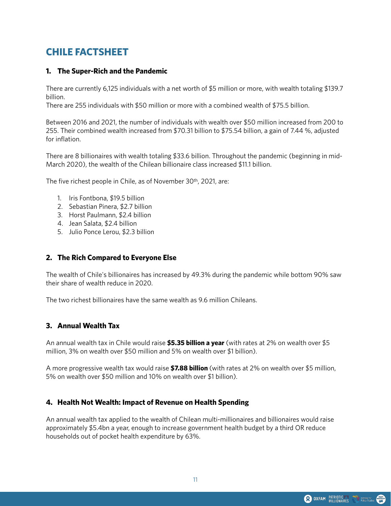# **CHILE FACTSHEET**

#### **1. The Super-Rich and the Pandemic**

There are currently 6,125 individuals with a net worth of \$5 million or more, with wealth totaling \$139.7 billion.

There are 255 individuals with \$50 million or more with a combined wealth of \$75.5 billion.

Between 2016 and 2021, the number of individuals with wealth over \$50 million increased from 200 to 255. Their combined wealth increased from \$70.31 billion to \$75.54 billion, a gain of 7.44 %, adjusted for inflation.

There are 8 billionaires with wealth totaling \$33.6 billion. Throughout the pandemic (beginning in mid-March 2020), the wealth of the Chilean billionaire class increased \$11.1 billion.

The five richest people in Chile, as of November 30<sup>th</sup>, 2021, are:

- 1. Iris Fontbona, \$19.5 billion
- 2. Sebastian Pinera, \$2.7 billion
- 3. Horst Paulmann, \$2.4 billion
- 4. Jean Salata, \$2.4 billion
- 5. Julio Ponce Lerou, \$2.3 billion

#### **2. The Rich Compared to Everyone Else**

The wealth of Chile's billionaires has increased by 49.3% during the pandemic while bottom 90% saw their share of wealth reduce in 2020.

The two richest billionaires have the same wealth as 9.6 million Chileans.

#### **3. Annual Wealth Tax**

An annual wealth tax in Chile would raise **\$5.35 billion a year** (with rates at 2% on wealth over \$5 million, 3% on wealth over \$50 million and 5% on wealth over \$1 billion).

A more progressive wealth tax would raise **\$7.88 billion** (with rates at 2% on wealth over \$5 million, 5% on wealth over \$50 million and 10% on wealth over \$1 billion).

# **4. Health Not Wealth: Impact of Revenue on Health Spending**

An annual wealth tax applied to the wealth of Chilean multi-millionaires and billionaires would raise approximately \$5.4bn a year, enough to increase government health budget by a third OR reduce households out of pocket health expenditure by 63%.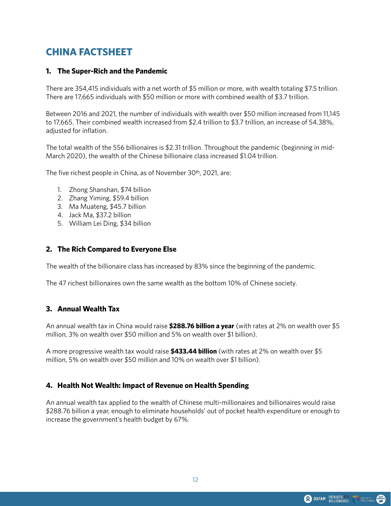# **CHINA FACTSHEET**

#### **1. The Super-Rich and the Pandemic**

There are 354,415 individuals with a net worth of \$5 million or more, with wealth totaling \$7.5 trillion. There are 17,665 individuals with \$50 million or more with combined wealth of \$3.7 trillion.

Between 2016 and 2021, the number of individuals with wealth over \$50 million increased from 11,145 to 17,665. Their combined wealth increased from \$2.4 trillion to \$3.7 trillion, an increase of 54.38%, adjusted for inflation.

The total wealth of the 556 billionaires is \$2.31 trillion. Throughout the pandemic (beginning in mid-March 2020), the wealth of the Chinese billionaire class increased \$1.04 trillion.

The five richest people in China, as of November 30th, 2021, are:

- 1. Zhong Shanshan, \$74 billion
- 2. Zhang Yiming, \$59.4 billion
- 3. Ma Muateng, \$45.7 billion
- 4. Jack Ma, \$37.2 billion
- 5. William Lei Ding, \$34 billion

#### **2. The Rich Compared to Everyone Else**

The wealth of the billionaire class has increased by 83% since the beginning of the pandemic.

The 47 richest billionaires own the same wealth as the bottom 10% of Chinese society.

#### **3. Annual Wealth Tax**

An annual wealth tax in China would raise **\$288.76 billion a year** (with rates at 2% on wealth over \$5 million, 3% on wealth over \$50 million and 5% on wealth over \$1 billion).

A more progressive wealth tax would raise **\$433.44 billion** (with rates at 2% on wealth over \$5 million, 5% on wealth over \$50 million and 10% on wealth over \$1 billion).

#### **4. Health Not Wealth: Impact of Revenue on Health Spending**

An annual wealth tax applied to the wealth of Chinese multi-millionaires and billionaires would raise \$288.76 billion a year, enough to eliminate households' out of pocket health expenditure or enough to increase the government's health budget by 67%.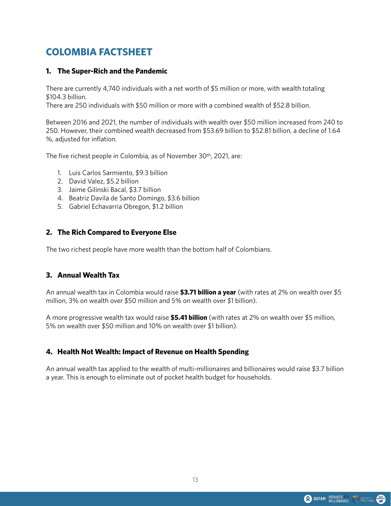# **COLOMBIA FACTSHEET**

### **1. The Super-Rich and the Pandemic**

There are currently 4,740 individuals with a net worth of \$5 million or more, with wealth totaling \$104.3 billion.

There are 250 individuals with \$50 million or more with a combined wealth of \$52.8 billion.

Between 2016 and 2021, the number of individuals with wealth over \$50 million increased from 240 to 250. However, their combined wealth decreased from \$53.69 billion to \$52.81 billion, a decline of 1.64 %, adjusted for inflation.

The five richest people in Colombia, as of November 30<sup>th</sup>, 2021, are:

- 1. Luis Carlos Sarmiento, \$9.3 billion
- 2. David Valez, \$5.2 billion
- 3. Jaime Gilinski Bacal, \$3.7 billion
- 4. Beatriz Davila de Santo Domingo, \$3.6 billion
- 5. Gabriel Echavarria Obregon, \$1.2 billion

#### **2. The Rich Compared to Everyone Else**

The two richest people have more wealth than the bottom half of Colombians.

#### **3. Annual Wealth Tax**

An annual wealth tax in Colombia would raise **\$3.71 billion a year** (with rates at 2% on wealth over \$5 million, 3% on wealth over \$50 million and 5% on wealth over \$1 billion).

A more progressive wealth tax would raise **\$5.41 billion** (with rates at 2% on wealth over \$5 million, 5% on wealth over \$50 million and 10% on wealth over \$1 billion).

# **4. Health Not Wealth: Impact of Revenue on Health Spending**

An annual wealth tax applied to the wealth of multi-millionaires and billionaires would raise \$3.7 billion a year. This is enough to eliminate out of pocket health budget for households.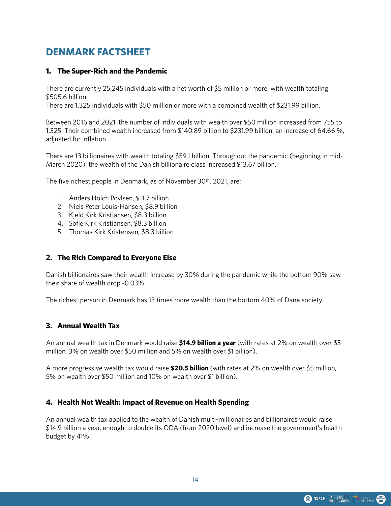# **DENMARK FACTSHEET**

### **1. The Super-Rich and the Pandemic**

There are currently 25,245 individuals with a net worth of \$5 million or more, with wealth totaling \$505.6 billion.

There are 1,325 individuals with \$50 million or more with a combined wealth of \$231.99 billion.

Between 2016 and 2021, the number of individuals with wealth over \$50 million increased from 755 to 1,325. Their combined wealth increased from \$140.89 billion to \$231.99 billion, an increase of 64.66 %, adjusted for inflation.

There are 13 billionaires with wealth totaling \$59.1 billion. Throughout the pandemic (beginning in mid-March 2020), the wealth of the Danish billionaire class increased \$13.67 billion.

The five richest people in Denmark, as of November 30th, 2021, are:

- 1. Anders Holch Povlsen, \$11.7 billion
- 2. Niels Peter Louis-Hansen, \$8.9 billion
- 3. Kjeld Kirk Kristiansen, \$8.3 billion
- 4. Sofie Kirk Kristiansen, \$8.3 billion
- 5. Thomas Kirk Kristensen, \$8.3 billion

#### **2. The Rich Compared to Everyone Else**

Danish billionaires saw their wealth increase by 30% during the pandemic while the bottom 90% saw their share of wealth drop -0.03%.

The richest person in Denmark has 13 times more wealth than the bottom 40% of Dane society.

#### **3. Annual Wealth Tax**

An annual wealth tax in Denmark would raise **\$14.9 billion a year** (with rates at 2% on wealth over \$5 million, 3% on wealth over \$50 million and 5% on wealth over \$1 billion).

A more progressive wealth tax would raise **\$20.5 billion** (with rates at 2% on wealth over \$5 million, 5% on wealth over \$50 million and 10% on wealth over \$1 billion).

#### **4. Health Not Wealth: Impact of Revenue on Health Spending**

An annual wealth tax applied to the wealth of Danish multi-millionaires and billionaires would raise \$14.9 billion a year, enough to double its ODA (from 2020 level) and increase the government's health budget by 41%.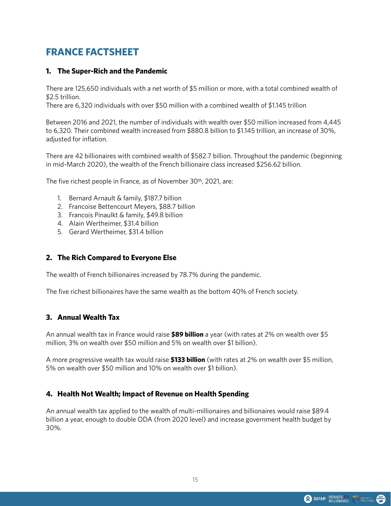# **FRANCE FACTSHEET**

### **1. The Super-Rich and the Pandemic**

There are 125,650 individuals with a net worth of \$5 million or more, with a total combined wealth of \$2.5 trillion.

There are 6,320 individuals with over \$50 million with a combined wealth of \$1.145 trillion

Between 2016 and 2021, the number of individuals with wealth over \$50 million increased from 4,445 to 6,320. Their combined wealth increased from \$880.8 billion to \$1.145 trillion, an increase of 30%, adjusted for inflation.

There are 42 billionaires with combined wealth of \$582.7 billion. Throughout the pandemic (beginning in mid-March 2020), the wealth of the French billionaire class increased \$256.62 billion.

The five richest people in France, as of November 30<sup>th</sup>, 2021, are:

- 1. Bernard Arnault & family, \$187.7 billion
- 2. Francoise Bettencourt Meyers, \$88.7 billion
- 3. Francois Pinaulkt & family, \$49.8 billion
- 4. Alain Wertheimer, \$31.4 billion
- 5. Gerard Wertheimer, \$31.4 billion

#### **2. The Rich Compared to Everyone Else**

The wealth of French billionaires increased by 78.7% during the pandemic.

The five richest billionaires have the same wealth as the bottom 40% of French society.

#### **3. Annual Wealth Tax**

An annual wealth tax in France would raise **\$89 billion** a year (with rates at 2% on wealth over \$5 million, 3% on wealth over \$50 million and 5% on wealth over \$1 billion).

A more progressive wealth tax would raise **\$133 billion** (with rates at 2% on wealth over \$5 million, 5% on wealth over \$50 million and 10% on wealth over \$1 billion).

# **4. Health Not Wealth; Impact of Revenue on Health Spending**

An annual wealth tax applied to the wealth of multi-millionaires and billionaires would raise \$89.4 billion a year, enough to double ODA (from 2020 level) and increase government health budget by 30%.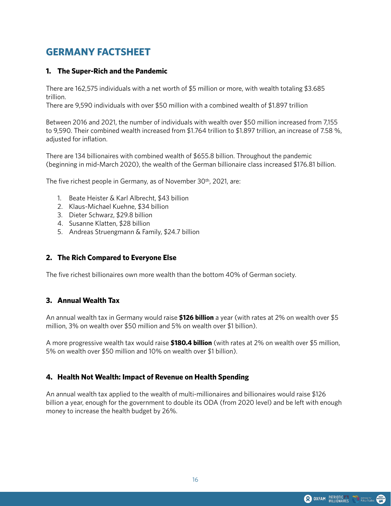# **GERMANY FACTSHEET**

#### **1. The Super-Rich and the Pandemic**

There are 162,575 individuals with a net worth of \$5 million or more, with wealth totaling \$3.685 trillion.

There are 9,590 individuals with over \$50 million with a combined wealth of \$1.897 trillion

Between 2016 and 2021, the number of individuals with wealth over \$50 million increased from 7,155 to 9,590. Their combined wealth increased from \$1.764 trillion to \$1.897 trillion, an increase of 7.58 %, adjusted for inflation.

There are 134 billionaires with combined wealth of \$655.8 billion. Throughout the pandemic (beginning in mid-March 2020), the wealth of the German billionaire class increased \$176.81 billion.

The five richest people in Germany, as of November 30<sup>th</sup>, 2021, are:

- 1. Beate Heister & Karl Albrecht, \$43 billion
- 2. Klaus-Michael Kuehne, \$34 billion
- 3. Dieter Schwarz, \$29.8 billion
- 4. Susanne Klatten, \$28 billion
- 5. Andreas Struengmann & Family, \$24.7 billion

#### **2. The Rich Compared to Everyone Else**

The five richest billionaires own more wealth than the bottom 40% of German society.

# **3. Annual Wealth Tax**

An annual wealth tax in Germany would raise **\$126 billion** a year (with rates at 2% on wealth over \$5 million, 3% on wealth over \$50 million and 5% on wealth over \$1 billion).

A more progressive wealth tax would raise **\$180.4 billion** (with rates at 2% on wealth over \$5 million, 5% on wealth over \$50 million and 10% on wealth over \$1 billion).

# **4. Health Not Wealth: Impact of Revenue on Health Spending**

An annual wealth tax applied to the wealth of multi-millionaires and billionaires would raise \$126 billion a year, enough for the government to double its ODA (from 2020 level) and be left with enough money to increase the health budget by 26%.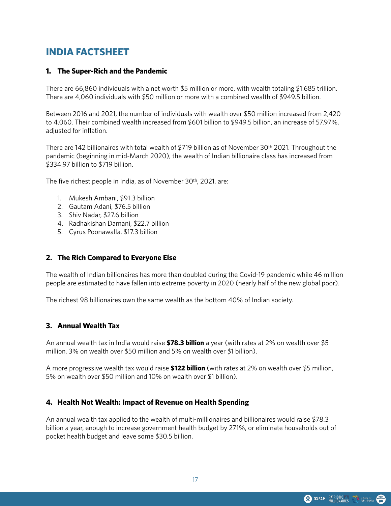# **INDIA FACTSHEET**

#### **1. The Super-Rich and the Pandemic**

There are 66,860 individuals with a net worth \$5 million or more, with wealth totaling \$1.685 trillion. There are 4,060 individuals with \$50 million or more with a combined wealth of \$949.5 billion.

Between 2016 and 2021, the number of individuals with wealth over \$50 million increased from 2,420 to 4,060. Their combined wealth increased from \$601 billion to \$949.5 billion, an increase of 57.97%, adjusted for inflation.

There are 142 billionaires with total wealth of \$719 billion as of November 30th 2021. Throughout the pandemic (beginning in mid-March 2020), the wealth of Indian billionaire class has increased from \$334.97 billion to \$719 billion.

The five richest people in India, as of November 30th, 2021, are:

- 1. Mukesh Ambani, \$91.3 billion
- 2. Gautam Adani, \$76.5 billion
- 3. Shiv Nadar, \$27.6 billion
- 4. Radhakishan Damani, \$22.7 billion
- 5. Cyrus Poonawalla, \$17.3 billion

#### **2. The Rich Compared to Everyone Else**

The wealth of Indian billionaires has more than doubled during the Covid-19 pandemic while 46 million people are estimated to have fallen into extreme poverty in 2020 (nearly half of the new global poor).

The richest 98 billionaires own the same wealth as the bottom 40% of Indian society.

#### **3. Annual Wealth Tax**

An annual wealth tax in India would raise **\$78.3 billion** a year (with rates at 2% on wealth over \$5 million, 3% on wealth over \$50 million and 5% on wealth over \$1 billion).

A more progressive wealth tax would raise **\$122 billion** (with rates at 2% on wealth over \$5 million, 5% on wealth over \$50 million and 10% on wealth over \$1 billion).

# **4. Health Not Wealth: Impact of Revenue on Health Spending**

An annual wealth tax applied to the wealth of multi-millionaires and billionaires would raise \$78.3 billion a year, enough to increase government health budget by 271%, or eliminate households out of pocket health budget and leave some \$30.5 billion.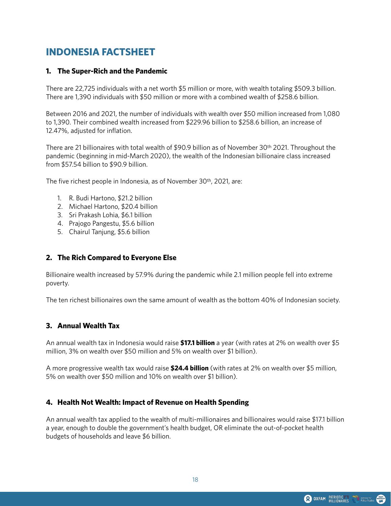# **INDONESIA FACTSHEET**

#### **1. The Super-Rich and the Pandemic**

There are 22,725 individuals with a net worth \$5 million or more, with wealth totaling \$509.3 billion. There are 1,390 individuals with \$50 million or more with a combined wealth of \$258.6 billion.

Between 2016 and 2021, the number of individuals with wealth over \$50 million increased from 1,080 to 1,390. Their combined wealth increased from \$229.96 billion to \$258.6 billion, an increase of 12.47%, adjusted for inflation.

There are 21 billionaires with total wealth of \$90.9 billion as of November 30th 2021. Throughout the pandemic (beginning in mid-March 2020), the wealth of the Indonesian billionaire class increased from \$57.54 billion to \$90.9 billion.

The five richest people in Indonesia, as of November 30<sup>th</sup>, 2021, are:

- 1. R. Budi Hartono, \$21.2 billion
- 2. Michael Hartono, \$20.4 billion
- 3. Sri Prakash Lohia, \$6.1 billion
- 4. Prajogo Pangestu, \$5.6 billion
- 5. Chairul Tanjung, \$5.6 billion

#### **2. The Rich Compared to Everyone Else**

Billionaire wealth increased by 57.9% during the pandemic while 2.1 million people fell into extreme poverty.

The ten richest billionaires own the same amount of wealth as the bottom 40% of Indonesian society.

#### **3. Annual Wealth Tax**

An annual wealth tax in Indonesia would raise **\$17.1 billion** a year (with rates at 2% on wealth over \$5 million, 3% on wealth over \$50 million and 5% on wealth over \$1 billion).

A more progressive wealth tax would raise **\$24.4 billion** (with rates at 2% on wealth over \$5 million, 5% on wealth over \$50 million and 10% on wealth over \$1 billion).

#### **4. Health Not Wealth: Impact of Revenue on Health Spending**

An annual wealth tax applied to the wealth of multi-millionaires and billionaires would raise \$17.1 billion a year, enough to double the government's health budget, OR eliminate the out-of-pocket health budgets of households and leave \$6 billion.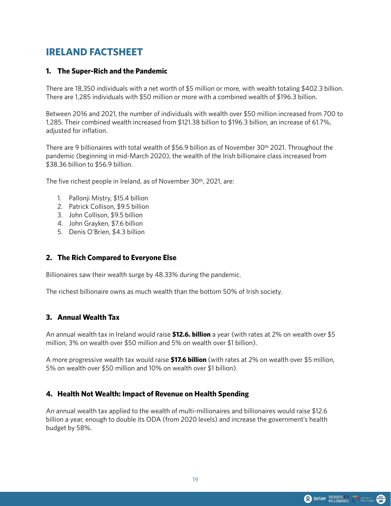# **IRELAND FACTSHEET**

#### **1. The Super-Rich and the Pandemic**

There are 18,350 individuals with a net worth of \$5 million or more, with wealth totaling \$402.3 billion. There are 1,285 individuals with \$50 million or more with a combined wealth of \$196.3 billion.

Between 2016 and 2021, the number of individuals with wealth over \$50 million increased from 700 to 1,285. Their combined wealth increased from \$121.38 billion to \$196.3 billion, an increase of 61.7%, adjusted for inflation.

There are 9 billionaires with total wealth of \$56.9 billion as of November 30th 2021. Throughout the pandemic (beginning in mid-March 2020), the wealth of the Irish billionaire class increased from \$38.36 billion to \$56.9 billion.

The five richest people in Ireland, as of November 30th, 2021, are:

- 1. Pallonji Mistry, \$15.4 billion
- 2. Patrick Collison, \$9.5 billion
- 3. John Collison, \$9.5 billion
- 4. John Grayken, \$7.6 billion
- 5. Denis O'Brien, \$4.3 billion

#### **2. The Rich Compared to Everyone Else**

Billionaires saw their wealth surge by 48.33% during the pandemic.

The richest billionaire owns as much wealth than the bottom 50% of Irish society.

#### **3. Annual Wealth Tax**

An annual wealth tax in Ireland would raise **\$12.6. billion** a year (with rates at 2% on wealth over \$5 million, 3% on wealth over \$50 million and 5% on wealth over \$1 billion).

A more progressive wealth tax would raise **\$17.6 billion** (with rates at 2% on wealth over \$5 million, 5% on wealth over \$50 million and 10% on wealth over \$1 billion).

#### **4. Health Not Wealth: Impact of Revenue on Health Spending**

An annual wealth tax applied to the wealth of multi-millionaires and billionaires would raise \$12.6 billion a year, enough to double its ODA (from 2020 levels) and increase the government's health budget by 58%.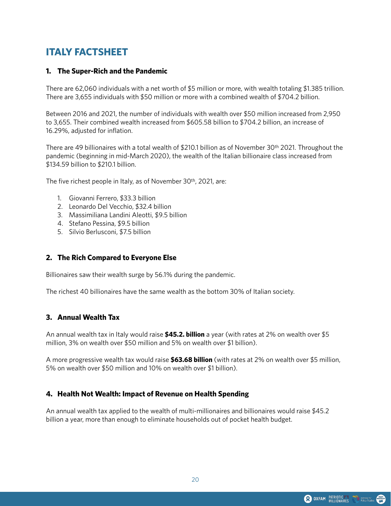# **ITALY FACTSHEET**

### **1. The Super-Rich and the Pandemic**

There are 62,060 individuals with a net worth of \$5 million or more, with wealth totaling \$1.385 trillion. There are 3,655 individuals with \$50 million or more with a combined wealth of \$704.2 billion.

Between 2016 and 2021, the number of individuals with wealth over \$50 million increased from 2,950 to 3,655. Their combined wealth increased from \$605.58 billion to \$704.2 billion, an increase of 16.29%, adjusted for inflation.

There are 49 billionaires with a total wealth of \$210.1 billion as of November 30th 2021. Throughout the pandemic (beginning in mid-March 2020), the wealth of the Italian billionaire class increased from \$134.59 billion to \$210.1 billion.

The five richest people in Italy, as of November 30th, 2021, are:

- 1. Giovanni Ferrero, \$33.3 billion
- 2. Leonardo Del Vecchio, \$32.4 billion
- 3. Massimiliana Landini Aleotti, \$9.5 billion
- 4. Stefano Pessina, \$9.5 billion
- 5. Silvio Berlusconi, \$7.5 billion

#### **2. The Rich Compared to Everyone Else**

Billionaires saw their wealth surge by 56.1% during the pandemic.

The richest 40 billionaires have the same wealth as the bottom 30% of Italian society.

#### **3. Annual Wealth Tax**

An annual wealth tax in Italy would raise **\$45.2. billion** a year (with rates at 2% on wealth over \$5 million, 3% on wealth over \$50 million and 5% on wealth over \$1 billion).

A more progressive wealth tax would raise **\$63.68 billion** (with rates at 2% on wealth over \$5 million, 5% on wealth over \$50 million and 10% on wealth over \$1 billion).

# **4. Health Not Wealth: Impact of Revenue on Health Spending**

An annual wealth tax applied to the wealth of multi-millionaires and billionaires would raise \$45.2 billion a year, more than enough to eliminate households out of pocket health budget.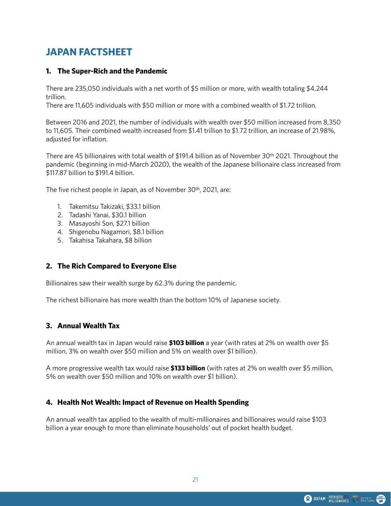# **JAPAN FACTSHEET**

### **1. The Super-Rich and the Pandemic**

There are 235,050 individuals with a net worth of \$5 million or more, with wealth totaling \$4.244 trillion.

There are 11,605 individuals with \$50 million or more with a combined wealth of \$1.72 trillion.

Between 2016 and 2021, the number of individuals with wealth over \$50 million increased from 8,350 to 11,605. Their combined wealth increased from \$1.41 trillion to \$1.72 trillion, an increase of 21.98%, adjusted for inflation.

There are 45 billionaires with total wealth of \$191.4 billion as of November 30th 2021. Throughout the pandemic (beginning in mid-March 2020), the wealth of the Japanese billionaire class increased from \$117.87 billion to \$191.4 billion.

The five richest people in Japan, as of November 30th, 2021, are:

- 1. Takemitsu Takizaki, \$33.1 billion
- 2. Tadashi Yanai, \$30.1 billion
- 3. Masayoshi Son, \$27.1 billion
- 4. Shigenobu Nagamori, \$8.1 billion
- 5. Takahisa Takahara, \$8 billion

# **2. The Rich Compared to Everyone Else**

Billionaires saw their wealth surge by 62.3% during the pandemic.

The richest billionaire has more wealth than the bottom 10% of Japanese society.

#### **3. Annual Wealth Tax**

An annual wealth tax in Japan would raise **\$103 billion** a year (with rates at 2% on wealth over \$5 million, 3% on wealth over \$50 million and 5% on wealth over \$1 billion).

A more progressive wealth tax would raise **\$133 billion** (with rates at 2% on wealth over \$5 million, 5% on wealth over \$50 million and 10% on wealth over \$1 billion).

# **4. Health Not Wealth: Impact of Revenue on Health Spending**

An annual wealth tax applied to the wealth of multi-millionaires and billionaires would raise \$103 billion a year enough to more than eliminate households' out of pocket health budget.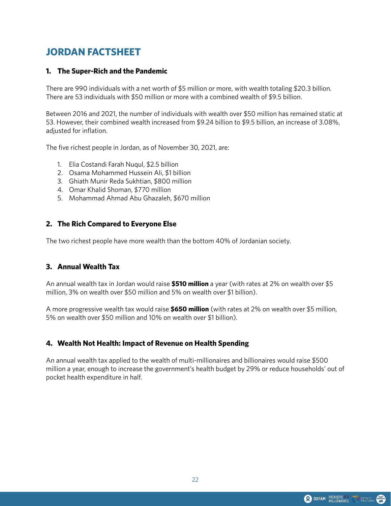# **JORDAN FACTSHEET**

### **1. The Super-Rich and the Pandemic**

There are 990 individuals with a net worth of \$5 million or more, with wealth totaling \$20.3 billion. There are 53 individuals with \$50 million or more with a combined wealth of \$9.5 billion.

Between 2016 and 2021, the number of individuals with wealth over \$50 million has remained static at 53. However, their combined wealth increased from \$9.24 billion to \$9.5 billion, an increase of 3.08%, adjusted for inflation.

The five richest people in Jordan, as of November 30, 2021, are:

- 1. Elia Costandi Farah Nuqul, \$2.5 billion
- 2. Osama Mohammed Hussein Ali, \$1 billion
- 3. Ghiath Munir Reda Sukhtian, \$800 million
- 4. Omar Khalid Shoman, \$770 million
- 5. Mohammad Ahmad Abu Ghazaleh, \$670 million

#### **2. The Rich Compared to Everyone Else**

The two richest people have more wealth than the bottom 40% of Jordanian society.

# **3. Annual Wealth Tax**

An annual wealth tax in Jordan would raise **\$510 million** a year (with rates at 2% on wealth over \$5 million, 3% on wealth over \$50 million and 5% on wealth over \$1 billion).

A more progressive wealth tax would raise **\$650 million** (with rates at 2% on wealth over \$5 million, 5% on wealth over \$50 million and 10% on wealth over \$1 billion).

# **4. Wealth Not Health: Impact of Revenue on Health Spending**

An annual wealth tax applied to the wealth of multi-millionaires and billionaires would raise \$500 million a year, enough to increase the government's health budget by 29% or reduce households' out of pocket health expenditure in half.

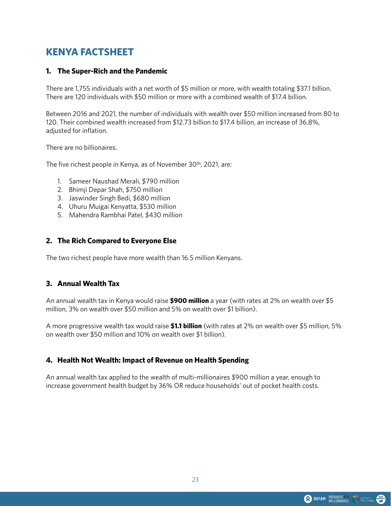# **KENYA FACTSHEET**

#### **1. The Super-Rich and the Pandemic**

There are 1,755 individuals with a net worth of \$5 million or more, with wealth totaling \$37.1 billion. There are 120 individuals with \$50 million or more with a combined wealth of \$17.4 billion.

Between 2016 and 2021, the number of individuals with wealth over \$50 million increased from 80 to 120. Their combined wealth increased from \$12.73 billion to \$17.4 billion, an increase of 36.8%, adjusted for inflation.

There are no billionaires.

The five richest people in Kenya, as of November 30th, 2021, are:

- 1. Sameer Naushad Merali, \$790 million
- 2. Bhimji Depar Shah, \$750 million
- 3. Jaswinder Singh Bedi, \$680 million
- 4. Uhuru Muigai Kenyatta, \$530 million
- 5. Mahendra Rambhai Patel, \$430 million

#### **2. The Rich Compared to Everyone Else**

The two richest people have more wealth than 16.5 million Kenyans.

#### **3. Annual Wealth Tax**

An annual wealth tax in Kenya would raise **\$900 million** a year (with rates at 2% on wealth over \$5 million, 3% on wealth over \$50 million and 5% on wealth over \$1 billion).

A more progressive wealth tax would raise **\$1.1 billion** (with rates at 2% on wealth over \$5 million, 5% on wealth over \$50 million and 10% on wealth over \$1 billion).

#### **4. Health Not Wealth: Impact of Revenue on Health Spending**

An annual wealth tax applied to the wealth of multi-millionaires \$900 million a year, enough to increase government health budget by 36% OR reduce households' out of pocket health costs.

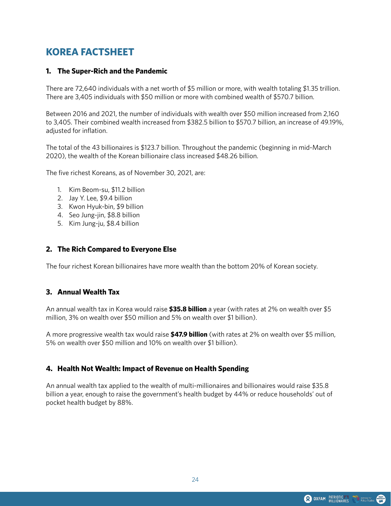# **KOREA FACTSHEET**

### **1. The Super-Rich and the Pandemic**

There are 72,640 individuals with a net worth of \$5 million or more, with wealth totaling \$1.35 trillion. There are 3,405 individuals with \$50 million or more with combined wealth of \$570.7 billion.

Between 2016 and 2021, the number of individuals with wealth over \$50 million increased from 2,160 to 3,405. Their combined wealth increased from \$382.5 billion to \$570.7 billion, an increase of 49.19%, adjusted for inflation.

The total of the 43 billionaires is \$123.7 billion. Throughout the pandemic (beginning in mid-March 2020), the wealth of the Korean billionaire class increased \$48.26 billion.

The five richest Koreans, as of November 30, 2021, are:

- 1. Kim Beom-su, \$11.2 billion
- 2. Jay Y. Lee, \$9.4 billion
- 3. Kwon Hyuk-bin, \$9 billion
- 4. Seo Jung-jin, \$8.8 billion
- 5. Kim Jung-ju, \$8.4 billion

#### **2. The Rich Compared to Everyone Else**

The four richest Korean billionaires have more wealth than the bottom 20% of Korean society.

#### **3. Annual Wealth Tax**

An annual wealth tax in Korea would raise **\$35.8 billion** a year (with rates at 2% on wealth over \$5 million, 3% on wealth over \$50 million and 5% on wealth over \$1 billion).

A more progressive wealth tax would raise **\$47.9 billion** (with rates at 2% on wealth over \$5 million, 5% on wealth over \$50 million and 10% on wealth over \$1 billion).

# **4. Health Not Wealth: Impact of Revenue on Health Spending**

An annual wealth tax applied to the wealth of multi-millionaires and billionaires would raise \$35.8 billion a year, enough to raise the government's health budget by 44% or reduce households' out of pocket health budget by 88%.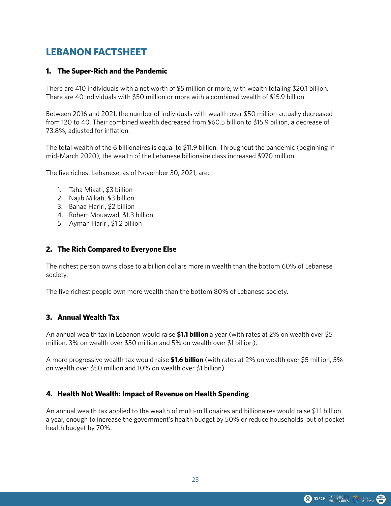# **LEBANON FACTSHEET**

#### **1. The Super-Rich and the Pandemic**

There are 410 individuals with a net worth of \$5 million or more, with wealth totaling \$20.1 billion. There are 40 individuals with \$50 million or more with a combined wealth of \$15.9 billion.

Between 2016 and 2021, the number of individuals with wealth over \$50 million actually decreased from 120 to 40. Their combined wealth decreased from \$60.5 billion to \$15.9 billion, a decrease of 73.8%, adjusted for inflation.

The total wealth of the 6 billionaires is equal to \$11.9 billion. Throughout the pandemic (beginning in mid-March 2020), the wealth of the Lebanese billionaire class increased \$970 million.

The five richest Lebanese, as of November 30, 2021, are:

- 1. Taha Mikati, \$3 billion
- 2. Najib Mikati, \$3 billion
- 3. Bahaa Hariri, \$2 billion
- 4. Robert Mouawad, \$1.3 billion
- 5. Ayman Hariri, \$1.2 billion

#### **2. The Rich Compared to Everyone Else**

The richest person owns close to a billion dollars more in wealth than the bottom 60% of Lebanese society.

The five richest people own more wealth than the bottom 80% of Lebanese society.

#### **3. Annual Wealth Tax**

An annual wealth tax in Lebanon would raise **\$1.1 billion** a year (with rates at 2% on wealth over \$5 million, 3% on wealth over \$50 million and 5% on wealth over \$1 billion).

A more progressive wealth tax would raise **\$1.6 billion** (with rates at 2% on wealth over \$5 million, 5% on wealth over \$50 million and 10% on wealth over \$1 billion).

#### **4. Health Not Wealth: Impact of Revenue on Health Spending**

An annual wealth tax applied to the wealth of multi-millionaires and billionaires would raise \$1.1 billion a year, enough to increase the government's health budget by 50% or reduce households' out of pocket health budget by 70%.

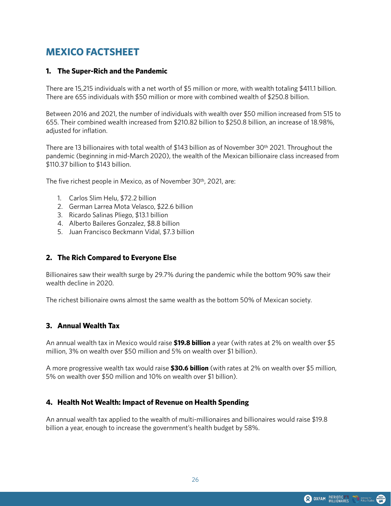# **MEXICO FACTSHEET**

#### **1. The Super-Rich and the Pandemic**

There are 15,215 individuals with a net worth of \$5 million or more, with wealth totaling \$411.1 billion. There are 655 individuals with \$50 million or more with combined wealth of \$250.8 billion.

Between 2016 and 2021, the number of individuals with wealth over \$50 million increased from 515 to 655. Their combined wealth increased from \$210.82 billion to \$250.8 billion, an increase of 18.98%, adjusted for inflation.

There are 13 billionaires with total wealth of \$143 billion as of November 30th 2021. Throughout the pandemic (beginning in mid-March 2020), the wealth of the Mexican billionaire class increased from \$110.37 billion to \$143 billion.

The five richest people in Mexico, as of November 30<sup>th</sup>, 2021, are:

- 1. Carlos Slim Helu, \$72.2 billion
- 2. German Larrea Mota Velasco, \$22.6 billion
- 3. Ricardo Salinas Pliego, \$13.1 billion
- 4. Alberto Baileres Gonzalez, \$8.8 billion
- 5. Juan Francisco Beckmann Vidal, \$7.3 billion

#### **2. The Rich Compared to Everyone Else**

Billionaires saw their wealth surge by 29.7% during the pandemic while the bottom 90% saw their wealth decline in 2020.

The richest billionaire owns almost the same wealth as the bottom 50% of Mexican society.

#### **3. Annual Wealth Tax**

An annual wealth tax in Mexico would raise **\$19.8 billion** a year (with rates at 2% on wealth over \$5 million, 3% on wealth over \$50 million and 5% on wealth over \$1 billion).

A more progressive wealth tax would raise **\$30.6 billion** (with rates at 2% on wealth over \$5 million, 5% on wealth over \$50 million and 10% on wealth over \$1 billion).

#### **4. Health Not Wealth: Impact of Revenue on Health Spending**

An annual wealth tax applied to the wealth of multi-millionaires and billionaires would raise \$19.8 billion a year, enough to increase the government's health budget by 58%.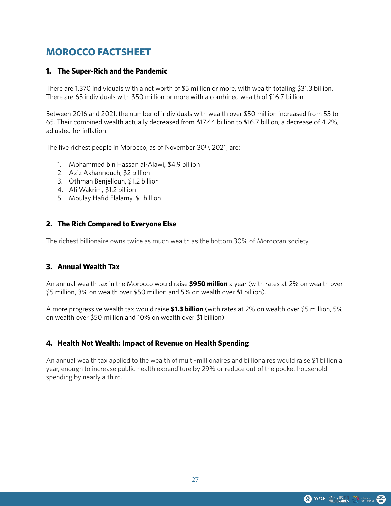# **MOROCCO FACTSHEET**

### **1. The Super-Rich and the Pandemic**

There are 1,370 individuals with a net worth of \$5 million or more, with wealth totaling \$31.3 billion. There are 65 individuals with \$50 million or more with a combined wealth of \$16.7 billion.

Between 2016 and 2021, the number of individuals with wealth over \$50 million increased from 55 to 65. Their combined wealth actually decreased from \$17.44 billion to \$16.7 billion, a decrease of 4.2%, adjusted for inflation.

The five richest people in Morocco, as of November 30<sup>th</sup>, 2021, are:

- 1. Mohammed bin Hassan al-Alawi, \$4.9 billion
- 2. Aziz Akhannouch, \$2 billion
- 3. Othman Benjelloun, \$1.2 billion
- 4. Ali Wakrim, \$1.2 billion
- 5. Moulay Hafid Elalamy, \$1 billion

#### **2. The Rich Compared to Everyone Else**

The richest billionaire owns twice as much wealth as the bottom 30% of Moroccan society.

# **3. Annual Wealth Tax**

An annual wealth tax in the Morocco would raise **\$950 million** a year (with rates at 2% on wealth over \$5 million, 3% on wealth over \$50 million and 5% on wealth over \$1 billion).

A more progressive wealth tax would raise **\$1.3 billion** (with rates at 2% on wealth over \$5 million, 5% on wealth over \$50 million and 10% on wealth over \$1 billion).

# **4. Health Not Wealth: Impact of Revenue on Health Spending**

An annual wealth tax applied to the wealth of multi-millionaires and billionaires would raise \$1 billion a year, enough to increase public health expenditure by 29% or reduce out of the pocket household spending by nearly a third.

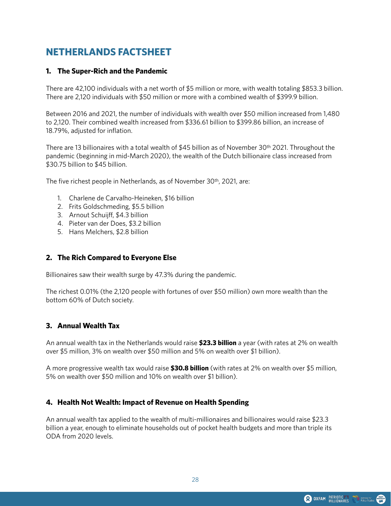# **NETHERLANDS FACTSHEET**

#### **1. The Super-Rich and the Pandemic**

There are 42,100 individuals with a net worth of \$5 million or more, with wealth totaling \$853.3 billion. There are 2,120 individuals with \$50 million or more with a combined wealth of \$399.9 billion.

Between 2016 and 2021, the number of individuals with wealth over \$50 million increased from 1,480 to 2,120. Their combined wealth increased from \$336.61 billion to \$399.86 billion, an increase of 18.79%, adjusted for inflation.

There are 13 billionaires with a total wealth of \$45 billion as of November 30th 2021. Throughout the pandemic (beginning in mid-March 2020), the wealth of the Dutch billionaire class increased from \$30.75 billion to \$45 billion.

The five richest people in Netherlands, as of November 30<sup>th</sup>, 2021, are:

- 1. Charlene de Carvalho-Heineken, \$16 billion
- 2. Frits Goldschmeding, \$5.5 billion
- 3. Arnout Schuijff, \$4.3 billion
- 4. Pieter van der Does, \$3.2 billion
- 5. Hans Melchers, \$2.8 billion

#### **2. The Rich Compared to Everyone Else**

Billionaires saw their wealth surge by 47.3% during the pandemic.

The richest 0.01% (the 2,120 people with fortunes of over \$50 million) own more wealth than the bottom 60% of Dutch society.

#### **3. Annual Wealth Tax**

An annual wealth tax in the Netherlands would raise **\$23.3 billion** a year (with rates at 2% on wealth over \$5 million, 3% on wealth over \$50 million and 5% on wealth over \$1 billion).

A more progressive wealth tax would raise **\$30.8 billion** (with rates at 2% on wealth over \$5 million, 5% on wealth over \$50 million and 10% on wealth over \$1 billion).

#### **4. Health Not Wealth: Impact of Revenue on Health Spending**

An annual wealth tax applied to the wealth of multi-millionaires and billionaires would raise \$23.3 billion a year, enough to eliminate households out of pocket health budgets and more than triple its ODA from 2020 levels.

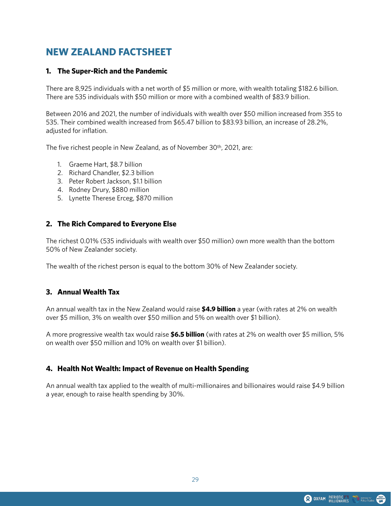# **NEW ZEALAND FACTSHEET**

#### **1. The Super-Rich and the Pandemic**

There are 8,925 individuals with a net worth of \$5 million or more, with wealth totaling \$182.6 billion. There are 535 individuals with \$50 million or more with a combined wealth of \$83.9 billion.

Between 2016 and 2021, the number of individuals with wealth over \$50 million increased from 355 to 535. Their combined wealth increased from \$65.47 billion to \$83.93 billion, an increase of 28.2%, adjusted for inflation.

The five richest people in New Zealand, as of November 30th, 2021, are:

- 1. Graeme Hart, \$8.7 billion
- 2. Richard Chandler, \$2.3 billion
- 3. Peter Robert Jackson, \$1.1 billion
- 4. Rodney Drury, \$880 million
- 5. Lynette Therese Erceg, \$870 million

#### **2. The Rich Compared to Everyone Else**

The richest 0.01% (535 individuals with wealth over \$50 million) own more wealth than the bottom 50% of New Zealander society.

The wealth of the richest person is equal to the bottom 30% of New Zealander society.

#### **3. Annual Wealth Tax**

An annual wealth tax in the New Zealand would raise **\$4.9 billion** a year (with rates at 2% on wealth over \$5 million, 3% on wealth over \$50 million and 5% on wealth over \$1 billion).

A more progressive wealth tax would raise **\$6.5 billion** (with rates at 2% on wealth over \$5 million, 5% on wealth over \$50 million and 10% on wealth over \$1 billion).

#### **4. Health Not Wealth: Impact of Revenue on Health Spending**

An annual wealth tax applied to the wealth of multi-millionaires and billionaires would raise \$4.9 billion a year, enough to raise health spending by 30%.

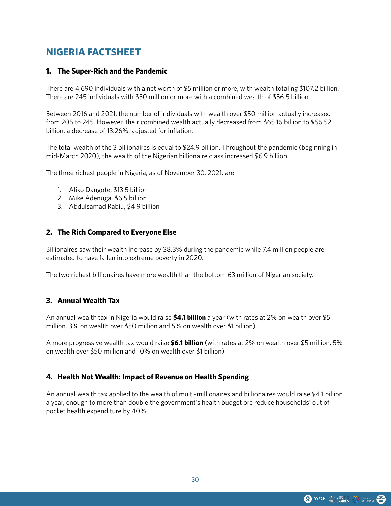# **NIGERIA FACTSHEET**

#### **1. The Super-Rich and the Pandemic**

There are 4,690 individuals with a net worth of \$5 million or more, with wealth totaling \$107.2 billion. There are 245 individuals with \$50 million or more with a combined wealth of \$56.5 billion.

Between 2016 and 2021, the number of individuals with wealth over \$50 million actually increased from 205 to 245. However, their combined wealth actually decreased from \$65.16 billion to \$56.52 billion, a decrease of 13.26%, adjusted for inflation.

The total wealth of the 3 billionaires is equal to \$24.9 billion. Throughout the pandemic (beginning in mid-March 2020), the wealth of the Nigerian billionaire class increased \$6.9 billion.

The three richest people in Nigeria, as of November 30, 2021, are:

- 1. Aliko Dangote, \$13.5 billion
- 2. Mike Adenuga, \$6.5 billion
- 3. Abdulsamad Rabiu, \$4.9 billion

#### **2. The Rich Compared to Everyone Else**

Billionaires saw their wealth increase by 38.3% during the pandemic while 7.4 million people are estimated to have fallen into extreme poverty in 2020.

The two richest billionaires have more wealth than the bottom 63 million of Nigerian society.

# **3. Annual Wealth Tax**

An annual wealth tax in Nigeria would raise **\$4.1 billion** a year (with rates at 2% on wealth over \$5 million, 3% on wealth over \$50 million and 5% on wealth over \$1 billion).

A more progressive wealth tax would raise **\$6.1 billion** (with rates at 2% on wealth over \$5 million, 5% on wealth over \$50 million and 10% on wealth over \$1 billion).

#### **4. Health Not Wealth: Impact of Revenue on Health Spending**

An annual wealth tax applied to the wealth of multi-millionaires and billionaires would raise \$4.1 billion a year, enough to more than double the government's health budget ore reduce households' out of pocket health expenditure by 40%.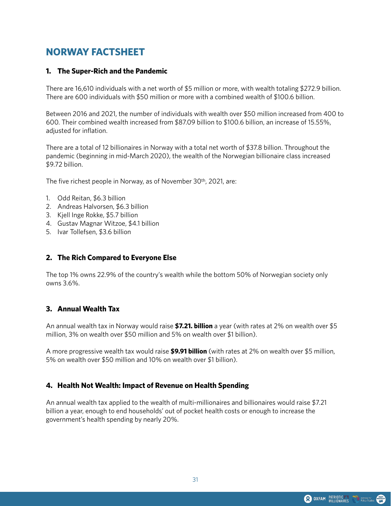# **NORWAY FACTSHEET**

#### **1. The Super-Rich and the Pandemic**

There are 16,610 individuals with a net worth of \$5 million or more, with wealth totaling \$272.9 billion. There are 600 individuals with \$50 million or more with a combined wealth of \$100.6 billion.

Between 2016 and 2021, the number of individuals with wealth over \$50 million increased from 400 to 600. Their combined wealth increased from \$87.09 billion to \$100.6 billion, an increase of 15.55%, adjusted for inflation.

There are a total of 12 billionaires in Norway with a total net worth of \$37.8 billion. Throughout the pandemic (beginning in mid-March 2020), the wealth of the Norwegian billionaire class increased \$9.72 billion.

The five richest people in Norway, as of November 30<sup>th</sup>, 2021, are:

- 1. Odd Reitan, \$6.3 billion
- 2. Andreas Halvorsen, \$6.3 billion
- 3. Kjell Inge Rokke, \$5.7 billion
- 4. Gustav Magnar Witzoe, \$4.1 billion
- 5. Ivar Tollefsen, \$3.6 billion

# **2. The Rich Compared to Everyone Else**

The top 1% owns 22.9% of the country's wealth while the bottom 50% of Norwegian society only owns 3.6%.

# **3. Annual Wealth Tax**

An annual wealth tax in Norway would raise **\$7.21. billion** a year (with rates at 2% on wealth over \$5 million, 3% on wealth over \$50 million and 5% on wealth over \$1 billion).

A more progressive wealth tax would raise **\$9.91 billion** (with rates at 2% on wealth over \$5 million, 5% on wealth over \$50 million and 10% on wealth over \$1 billion).

#### **4. Health Not Wealth: Impact of Revenue on Health Spending**

An annual wealth tax applied to the wealth of multi-millionaires and billionaires would raise \$7.21 billion a year, enough to end households' out of pocket health costs or enough to increase the government's health spending by nearly 20%.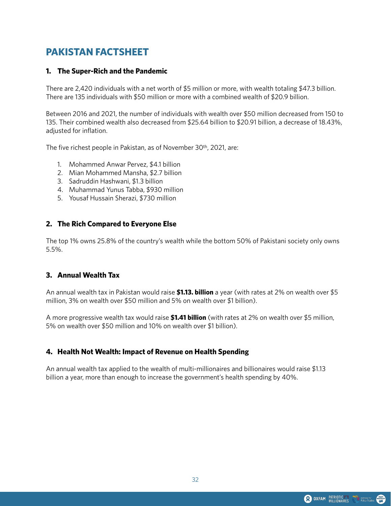# **PAKISTAN FACTSHEET**

#### **1. The Super-Rich and the Pandemic**

There are 2,420 individuals with a net worth of \$5 million or more, with wealth totaling \$47.3 billion. There are 135 individuals with \$50 million or more with a combined wealth of \$20.9 billion.

Between 2016 and 2021, the number of individuals with wealth over \$50 million decreased from 150 to 135. Their combined wealth also decreased from \$25.64 billion to \$20.91 billion, a decrease of 18.43%, adjusted for inflation.

The five richest people in Pakistan, as of November 30th, 2021, are:

- 1. Mohammed Anwar Pervez, \$4.1 billion
- 2. Mian Mohammed Mansha, \$2.7 billion
- 3. Sadruddin Hashwani, \$1.3 billion
- 4. Muhammad Yunus Tabba, \$930 million
- 5. Yousaf Hussain Sherazi, \$730 million

#### **2. The Rich Compared to Everyone Else**

The top 1% owns 25.8% of the country's wealth while the bottom 50% of Pakistani society only owns 5.5%.

#### **3. Annual Wealth Tax**

An annual wealth tax in Pakistan would raise **\$1.13. billion** a year (with rates at 2% on wealth over \$5 million, 3% on wealth over \$50 million and 5% on wealth over \$1 billion).

A more progressive wealth tax would raise **\$1.41 billion** (with rates at 2% on wealth over \$5 million, 5% on wealth over \$50 million and 10% on wealth over \$1 billion).

# **4. Health Not Wealth: Impact of Revenue on Health Spending**

An annual wealth tax applied to the wealth of multi-millionaires and billionaires would raise \$1.13 billion a year, more than enough to increase the government's health spending by 40%.

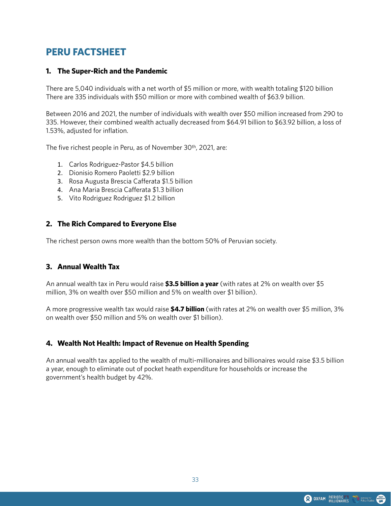# **PERU FACTSHEET**

#### **1. The Super-Rich and the Pandemic**

There are 5,040 individuals with a net worth of \$5 million or more, with wealth totaling \$120 billion There are 335 individuals with \$50 million or more with combined wealth of \$63.9 billion.

Between 2016 and 2021, the number of individuals with wealth over \$50 million increased from 290 to 335. However, their combined wealth actually decreased from \$64.91 billion to \$63.92 billion, a loss of 1.53%, adjusted for inflation.

The five richest people in Peru, as of November 30th, 2021, are:

- 1. Carlos Rodriguez-Pastor \$4.5 billion
- 2. Dionisio Romero Paoletti \$2.9 billion
- 3. Rosa Augusta Brescia Cafferata \$1.5 billion
- 4. Ana Maria Brescia Cafferata \$1.3 billion
- 5. Vito Rodriguez Rodriguez \$1.2 billion

#### **2. The Rich Compared to Everyone Else**

The richest person owns more wealth than the bottom 50% of Peruvian society.

#### **3. Annual Wealth Tax**

An annual wealth tax in Peru would raise **\$3.5 billion a year** (with rates at 2% on wealth over \$5 million, 3% on wealth over \$50 million and 5% on wealth over \$1 billion).

A more progressive wealth tax would raise **\$4.7 billion** (with rates at 2% on wealth over \$5 million, 3% on wealth over \$50 million and 5% on wealth over \$1 billion).

#### **4. Wealth Not Health: Impact of Revenue on Health Spending**

An annual wealth tax applied to the wealth of multi-millionaires and billionaires would raise \$3.5 billion a year, enough to eliminate out of pocket heath expenditure for households or increase the government's health budget by 42%.

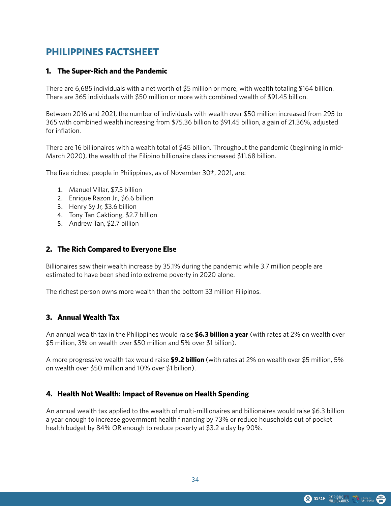# **PHILIPPINES FACTSHEET**

#### **1. The Super-Rich and the Pandemic**

There are 6,685 individuals with a net worth of \$5 million or more, with wealth totaling \$164 billion. There are 365 individuals with \$50 million or more with combined wealth of \$91.45 billion.

Between 2016 and 2021, the number of individuals with wealth over \$50 million increased from 295 to 365 with combined wealth increasing from \$75.36 billion to \$91.45 billion, a gain of 21.36%, adjusted for inflation.

There are 16 billionaires with a wealth total of \$45 billion. Throughout the pandemic (beginning in mid-March 2020), the wealth of the Filipino billionaire class increased \$11.68 billion.

The five richest people in Philippines, as of November 30th, 2021, are:

- 1. Manuel Villar, \$7.5 billion
- 2. Enrique Razon Jr., \$6.6 billion
- 3. Henry Sy Jr, \$3.6 billion
- 4. Tony Tan Caktiong, \$2.7 billion
- 5. Andrew Tan, \$2.7 billion

#### **2. The Rich Compared to Everyone Else**

Billionaires saw their wealth increase by 35.1% during the pandemic while 3.7 million people are estimated to have been shed into extreme poverty in 2020 alone.

The richest person owns more wealth than the bottom 33 million Filipinos.

#### **3. Annual Wealth Tax**

An annual wealth tax in the Philippines would raise **\$6.3 billion a year** (with rates at 2% on wealth over \$5 million, 3% on wealth over \$50 million and 5% over \$1 billion).

A more progressive wealth tax would raise **\$9.2 billion** (with rates at 2% on wealth over \$5 million, 5% on wealth over \$50 million and 10% over \$1 billion).

#### **4. Health Not Wealth: Impact of Revenue on Health Spending**

An annual wealth tax applied to the wealth of multi-millionaires and billionaires would raise \$6.3 billion a year enough to increase government health financing by 73% or reduce households out of pocket health budget by 84% OR enough to reduce poverty at \$3.2 a day by 90%.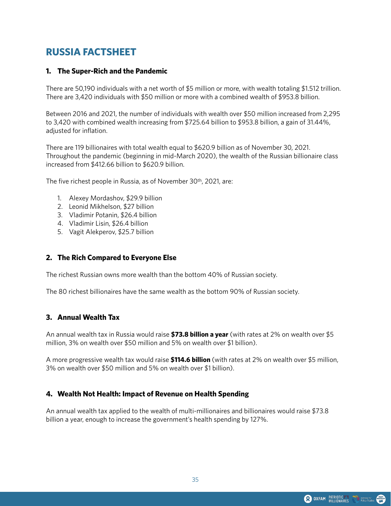# **RUSSIA FACTSHEET**

#### **1. The Super-Rich and the Pandemic**

There are 50,190 individuals with a net worth of \$5 million or more, with wealth totaling \$1.512 trillion. There are 3,420 individuals with \$50 million or more with a combined wealth of \$953.8 billion.

Between 2016 and 2021, the number of individuals with wealth over \$50 million increased from 2,295 to 3,420 with combined wealth increasing from \$725.64 billion to \$953.8 billion, a gain of 31.44%, adjusted for inflation.

There are 119 billionaires with total wealth equal to \$620.9 billion as of November 30, 2021. Throughout the pandemic (beginning in mid-March 2020), the wealth of the Russian billionaire class increased from \$412.66 billion to \$620.9 billion.

The five richest people in Russia, as of November 30<sup>th</sup>, 2021, are:

- 1. Alexey Mordashov, \$29.9 billion
- 2. Leonid Mikhelson, \$27 billion
- 3. Vladimir Potanin, \$26.4 billion
- 4. Vladimir Lisin, \$26.4 billion
- 5. Vagit Alekperov, \$25.7 billion

#### **2. The Rich Compared to Everyone Else**

The richest Russian owns more wealth than the bottom 40% of Russian society.

The 80 richest billionaires have the same wealth as the bottom 90% of Russian society.

#### **3. Annual Wealth Tax**

An annual wealth tax in Russia would raise **\$73.8 billion a year** (with rates at 2% on wealth over \$5 million, 3% on wealth over \$50 million and 5% on wealth over \$1 billion).

A more progressive wealth tax would raise **\$114.6 billion** (with rates at 2% on wealth over \$5 million, 3% on wealth over \$50 million and 5% on wealth over \$1 billion).

# **4. Wealth Not Health: Impact of Revenue on Health Spending**

An annual wealth tax applied to the wealth of multi-millionaires and billionaires would raise \$73.8 billion a year, enough to increase the government's health spending by 127%.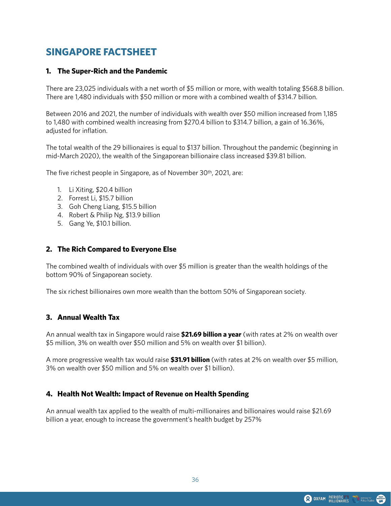# **SINGAPORE FACTSHEET**

#### **1. The Super-Rich and the Pandemic**

There are 23,025 individuals with a net worth of \$5 million or more, with wealth totaling \$568.8 billion. There are 1,480 individuals with \$50 million or more with a combined wealth of \$314.7 billion.

Between 2016 and 2021, the number of individuals with wealth over \$50 million increased from 1,185 to 1,480 with combined wealth increasing from \$270.4 billion to \$314.7 billion, a gain of 16.36%, adjusted for inflation.

The total wealth of the 29 billionaires is equal to \$137 billion. Throughout the pandemic (beginning in mid-March 2020), the wealth of the Singaporean billionaire class increased \$39.81 billion.

The five richest people in Singapore, as of November 30th, 2021, are:

- 1. Li Xiting, \$20.4 billion
- 2. Forrest Li, \$15.7 billion
- 3. Goh Cheng Liang, \$15.5 billion
- 4. Robert & Philip Ng, \$13.9 billion
- 5. Gang Ye, \$10.1 billion.

#### **2. The Rich Compared to Everyone Else**

The combined wealth of individuals with over \$5 million is greater than the wealth holdings of the bottom 90% of Singaporean society.

The six richest billionaires own more wealth than the bottom 50% of Singaporean society.

#### **3. Annual Wealth Tax**

An annual wealth tax in Singapore would raise **\$21.69 billion a year** (with rates at 2% on wealth over \$5 million, 3% on wealth over \$50 million and 5% on wealth over \$1 billion).

A more progressive wealth tax would raise **\$31.91 billion** (with rates at 2% on wealth over \$5 million, 3% on wealth over \$50 million and 5% on wealth over \$1 billion).

#### **4. Health Not Wealth: Impact of Revenue on Health Spending**

An annual wealth tax applied to the wealth of multi-millionaires and billionaires would raise \$21.69 billion a year, enough to increase the government's health budget by 257%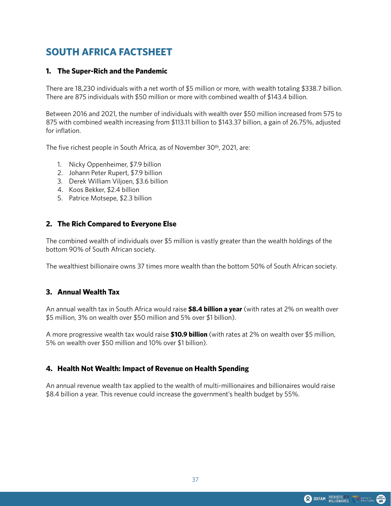# **SOUTH AFRICA FACTSHEET**

### **1. The Super-Rich and the Pandemic**

There are 18,230 individuals with a net worth of \$5 million or more, with wealth totaling \$338.7 billion. There are 875 individuals with \$50 million or more with combined wealth of \$143.4 billion.

Between 2016 and 2021, the number of individuals with wealth over \$50 million increased from 575 to 875 with combined wealth increasing from \$113.11 billion to \$143.37 billion, a gain of 26.75%, adjusted for inflation.

The five richest people in South Africa, as of November 30th, 2021, are:

- 1. Nicky Oppenheimer, \$7.9 billion
- 2. Johann Peter Rupert, \$7.9 billion
- 3. Derek William Viljoen, \$3.6 billion
- 4. Koos Bekker, \$2.4 billion
- 5. Patrice Motsepe, \$2.3 billion

#### **2. The Rich Compared to Everyone Else**

The combined wealth of individuals over \$5 million is vastly greater than the wealth holdings of the bottom 90% of South African society.

The wealthiest billionaire owns 37 times more wealth than the bottom 50% of South African society.

#### **3. Annual Wealth Tax**

An annual wealth tax in South Africa would raise **\$8.4 billion a year** (with rates at 2% on wealth over \$5 million, 3% on wealth over \$50 million and 5% over \$1 billion).

A more progressive wealth tax would raise **\$10.9 billion** (with rates at 2% on wealth over \$5 million, 5% on wealth over \$50 million and 10% over \$1 billion).

# **4. Health Not Wealth: Impact of Revenue on Health Spending**

An annual revenue wealth tax applied to the wealth of multi-millionaires and billionaires would raise \$8.4 billion a year. This revenue could increase the government's health budget by 55%.

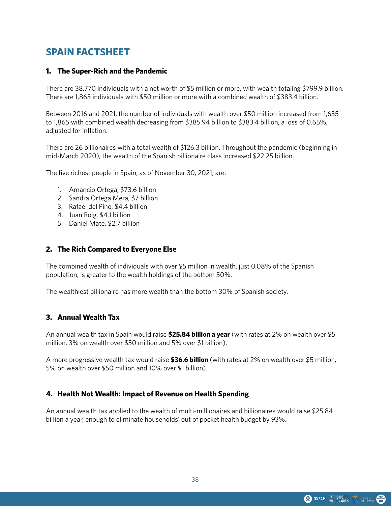# **SPAIN FACTSHEET**

#### **1. The Super-Rich and the Pandemic**

There are 38,770 individuals with a net worth of \$5 million or more, with wealth totaling \$799.9 billion. There are 1,865 individuals with \$50 million or more with a combined wealth of \$383.4 billion.

Between 2016 and 2021, the number of individuals with wealth over \$50 million increased from 1,635 to 1,865 with combined wealth decreasing from \$385.94 billion to \$383.4 billion, a loss of 0.65%, adjusted for inflation.

There are 26 billionaires with a total wealth of \$126.3 billion. Throughout the pandemic (beginning in mid-March 2020), the wealth of the Spanish billionaire class increased \$22.25 billion.

The five richest people in Spain, as of November 30, 2021, are:

- 1. Amancio Ortega, \$73.6 billion
- 2. Sandra Ortega Mera, \$7 billion
- 3. Rafael del Pino, \$4.4 billion
- 4. Juan Roig, \$4.1 billion
- 5. Daniel Mate, \$2.7 billion

#### **2. The Rich Compared to Everyone Else**

The combined wealth of individuals with over \$5 million in wealth, just 0.08% of the Spanish population, is greater to the wealth holdings of the bottom 50%.

The wealthiest billionaire has more wealth than the bottom 30% of Spanish society.

#### **3. Annual Wealth Tax**

An annual wealth tax in Spain would raise **\$25.84 billion a year** (with rates at 2% on wealth over \$5 million, 3% on wealth over \$50 million and 5% over \$1 billion).

A more progressive wealth tax would raise **\$36.6 billion** (with rates at 2% on wealth over \$5 million, 5% on wealth over \$50 million and 10% over \$1 billion).

#### **4. Health Not Wealth: Impact of Revenue on Health Spending**

An annual wealth tax applied to the wealth of multi-millionaires and billionaires would raise \$25.84 billion a year, enough to eliminate households' out of pocket health budget by 93%.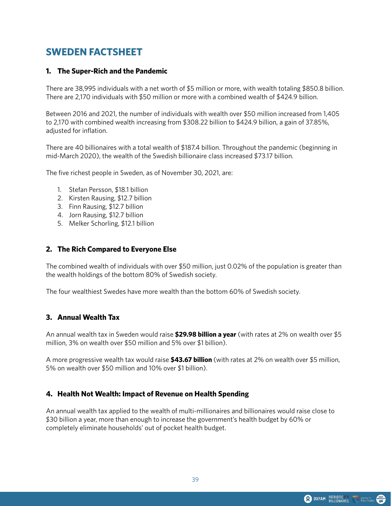# **SWEDEN FACTSHEET**

#### **1. The Super-Rich and the Pandemic**

There are 38,995 individuals with a net worth of \$5 million or more, with wealth totaling \$850.8 billion. There are 2,170 individuals with \$50 million or more with a combined wealth of \$424.9 billion.

Between 2016 and 2021, the number of individuals with wealth over \$50 million increased from 1,405 to 2,170 with combined wealth increasing from \$308.22 billion to \$424.9 billion, a gain of 37.85%, adjusted for inflation.

There are 40 billionaires with a total wealth of \$187.4 billion. Throughout the pandemic (beginning in mid-March 2020), the wealth of the Swedish billionaire class increased \$73.17 billion.

The five richest people in Sweden, as of November 30, 2021, are:

- 1. Stefan Persson, \$18.1 billion
- 2. Kirsten Rausing, \$12.7 billion
- 3. Finn Rausing, \$12.7 billion
- 4. Jorn Rausing, \$12.7 billion
- 5. Melker Schorling, \$12.1 billion

#### **2. The Rich Compared to Everyone Else**

The combined wealth of individuals with over \$50 million, just 0.02% of the population is greater than the wealth holdings of the bottom 80% of Swedish society.

The four wealthiest Swedes have more wealth than the bottom 60% of Swedish society.

#### **3. Annual Wealth Tax**

An annual wealth tax in Sweden would raise **\$29.98 billion a year** (with rates at 2% on wealth over \$5 million, 3% on wealth over \$50 million and 5% over \$1 billion).

A more progressive wealth tax would raise **\$43.67 billion** (with rates at 2% on wealth over \$5 million, 5% on wealth over \$50 million and 10% over \$1 billion).

#### **4. Health Not Wealth: Impact of Revenue on Health Spending**

An annual wealth tax applied to the wealth of multi-millionaires and billionaires would raise close to \$30 billion a year, more than enough to increase the government's health budget by 60% or completely eliminate households' out of pocket health budget.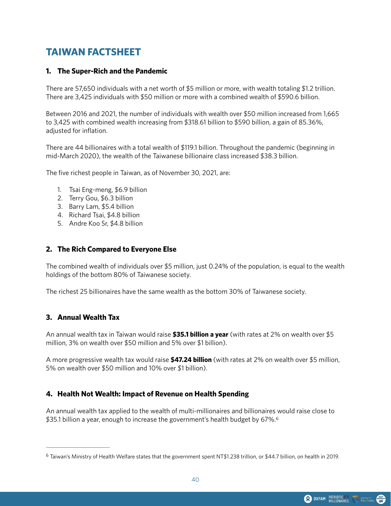# **TAIWAN FACTSHEET**

#### **1. The Super-Rich and the Pandemic**

There are 57,650 individuals with a net worth of \$5 million or more, with wealth totaling \$1.2 trillion. There are 3,425 individuals with \$50 million or more with a combined wealth of \$590.6 billion.

Between 2016 and 2021, the number of individuals with wealth over \$50 million increased from 1,665 to 3,425 with combined wealth increasing from \$318.61 billion to \$590 billion, a gain of 85.36%, adjusted for inflation.

There are 44 billionaires with a total wealth of \$119.1 billion. Throughout the pandemic (beginning in mid-March 2020), the wealth of the Taiwanese billionaire class increased \$38.3 billion.

The five richest people in Taiwan, as of November 30, 2021, are:

- 1. Tsai Eng-meng, \$6.9 billion
- 2. Terry Gou, \$6.3 billion
- 3. Barry Lam, \$5.4 billion
- 4. Richard Tsai, \$4.8 billion
- 5. Andre Koo Sr, \$4.8 billion

#### **2. The Rich Compared to Everyone Else**

The combined wealth of individuals over \$5 million, just 0.24% of the population, is equal to the wealth holdings of the bottom 80% of Taiwanese society.

The richest 25 billionaires have the same wealth as the bottom 30% of Taiwanese society.

#### **3. Annual Wealth Tax**

An annual wealth tax in Taiwan would raise **\$35.1 billion a year** (with rates at 2% on wealth over \$5 million, 3% on wealth over \$50 million and 5% over \$1 billion).

A more progressive wealth tax would raise **\$47.24 billion** (with rates at 2% on wealth over \$5 million, 5% on wealth over \$50 million and 10% over \$1 billion).

# **4. Health Not Wealth: Impact of Revenue on Health Spending**

<span id="page-39-1"></span>An annual wealth tax applied to the wealth of multi-millionaires and billionaires would raise close to \$35.1 billion a year, enough to increase the government's health budget by 67%.<sup>6</sup>

<span id="page-39-0"></span>Taiwan's Ministry of Health Welfare states that the government spent NT\$1.238 trillion, or \$44.7 billion, on health in 2019. [6](#page-39-1)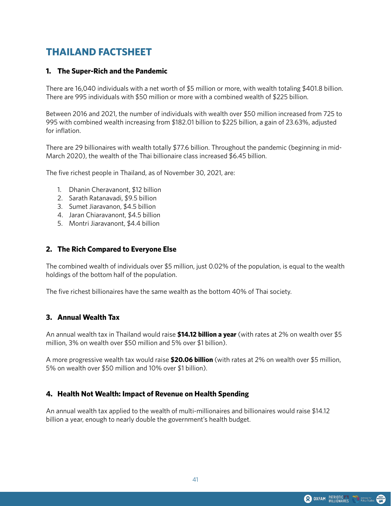# **THAILAND FACTSHEET**

#### **1. The Super-Rich and the Pandemic**

There are 16,040 individuals with a net worth of \$5 million or more, with wealth totaling \$401.8 billion. There are 995 individuals with \$50 million or more with a combined wealth of \$225 billion.

Between 2016 and 2021, the number of individuals with wealth over \$50 million increased from 725 to 995 with combined wealth increasing from \$182.01 billion to \$225 billion, a gain of 23.63%, adjusted for inflation.

There are 29 billionaires with wealth totally \$77.6 billion. Throughout the pandemic (beginning in mid-March 2020), the wealth of the Thai billionaire class increased \$6.45 billion.

The five richest people in Thailand, as of November 30, 2021, are:

- 1. Dhanin Cheravanont, \$12 billion
- 2. Sarath Ratanavadi, \$9.5 billion
- 3. Sumet Jiaravanon, \$4.5 billion
- 4. Jaran Chiaravanont, \$4.5 billion
- 5. Montri Jiaravanont, \$4.4 billion

#### **2. The Rich Compared to Everyone Else**

The combined wealth of individuals over \$5 million, just 0.02% of the population, is equal to the wealth holdings of the bottom half of the population.

The five richest billionaires have the same wealth as the bottom 40% of Thai society.

#### **3. Annual Wealth Tax**

An annual wealth tax in Thailand would raise **\$14.12 billion a year** (with rates at 2% on wealth over \$5 million, 3% on wealth over \$50 million and 5% over \$1 billion).

A more progressive wealth tax would raise **\$20.06 billion** (with rates at 2% on wealth over \$5 million, 5% on wealth over \$50 million and 10% over \$1 billion).

# **4. Health Not Wealth: Impact of Revenue on Health Spending**

An annual wealth tax applied to the wealth of multi-millionaires and billionaires would raise \$14.12 billion a year, enough to nearly double the government's health budget.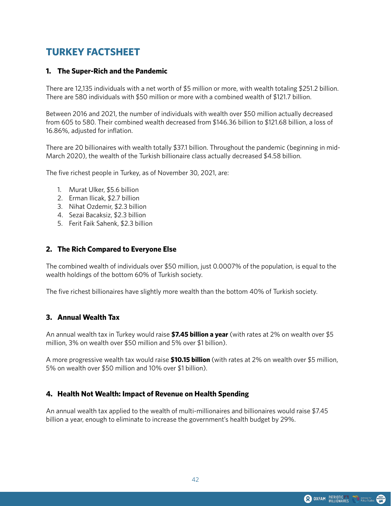# **TURKEY FACTSHEET**

#### **1. The Super-Rich and the Pandemic**

There are 12,135 individuals with a net worth of \$5 million or more, with wealth totaling \$251.2 billion. There are 580 individuals with \$50 million or more with a combined wealth of \$121.7 billion.

Between 2016 and 2021, the number of individuals with wealth over \$50 million actually decreased from 605 to 580. Their combined wealth decreased from \$146.36 billion to \$121.68 billion, a loss of 16.86%, adjusted for inflation.

There are 20 billionaires with wealth totally \$37.1 billion. Throughout the pandemic (beginning in mid-March 2020), the wealth of the Turkish billionaire class actually decreased \$4.58 billion.

The five richest people in Turkey, as of November 30, 2021, are:

- 1. Murat Ulker, \$5.6 billion
- 2. Erman Ilicak, \$2.7 billion
- 3. Nihat Ozdemir, \$2.3 billion
- 4. Sezai Bacaksiz, \$2.3 billion
- 5. Ferit Faik Sahenk, \$2.3 billion

#### **2. The Rich Compared to Everyone Else**

The combined wealth of individuals over \$50 million, just 0.0007% of the population, is equal to the wealth holdings of the bottom 60% of Turkish society.

The five richest billionaires have slightly more wealth than the bottom 40% of Turkish society.

#### **3. Annual Wealth Tax**

An annual wealth tax in Turkey would raise **\$7.45 billion a year** (with rates at 2% on wealth over \$5 million, 3% on wealth over \$50 million and 5% over \$1 billion).

A more progressive wealth tax would raise **\$10.15 billion** (with rates at 2% on wealth over \$5 million, 5% on wealth over \$50 million and 10% over \$1 billion).

#### **4. Health Not Wealth: Impact of Revenue on Health Spending**

An annual wealth tax applied to the wealth of multi-millionaires and billionaires would raise \$7.45 billion a year, enough to eliminate to increase the government's health budget by 29%.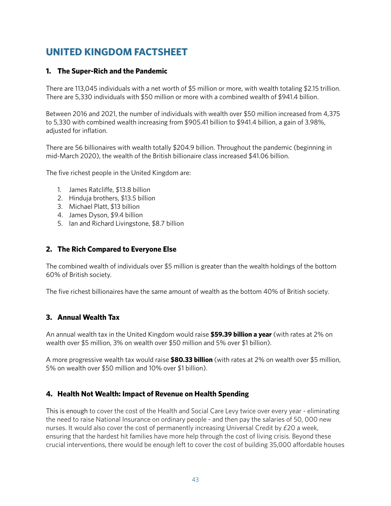# **UNITED KINGDOM FACTSHEET**

# **1. The Super-Rich and the Pandemic**

There are 113,045 individuals with a net worth of \$5 million or more, with wealth totaling \$2.15 trillion. There are 5,330 individuals with \$50 million or more with a combined wealth of \$941.4 billion.

Between 2016 and 2021, the number of individuals with wealth over \$50 million increased from 4,375 to 5,330 with combined wealth increasing from \$905.41 billion to \$941.4 billion, a gain of 3.98%, adjusted for inflation.

There are 56 billionaires with wealth totally \$204.9 billion. Throughout the pandemic (beginning in mid-March 2020), the wealth of the British billionaire class increased \$41.06 billion.

The five richest people in the United Kingdom are:

- 1. James Ratcliffe, \$13.8 billion
- 2. Hinduja brothers, \$13.5 billion
- 3. Michael Platt, \$13 billion
- 4. James Dyson, \$9.4 billion
- 5. Ian and Richard Livingstone, \$8.7 billion

# **2. The Rich Compared to Everyone Else**

The combined wealth of individuals over \$5 million is greater than the wealth holdings of the bottom 60% of British society.

The five richest billionaires have the same amount of wealth as the bottom 40% of British society.

# **3. Annual Wealth Tax**

An annual wealth tax in the United Kingdom would raise **\$59.39 billion a year** (with rates at 2% on wealth over \$5 million, 3% on wealth over \$50 million and 5% over \$1 billion).

A more progressive wealth tax would raise **\$80.33 billion** (with rates at 2% on wealth over \$5 million, 5% on wealth over \$50 million and 10% over \$1 billion).

# **4. Health Not Wealth: Impact of Revenue on Health Spending**

This is enough to cover the cost of the Health and Social Care Levy twice over every year - eliminating the need to raise National Insurance on ordinary people - and then pay the salaries of 50, 000 new nurses. It would also cover the cost of permanently increasing Universal Credit by £20 a week, ensuring that the hardest hit families have more help through the cost of living crisis. Beyond these crucial interventions, there would be enough left to cover the cost of building 35,000 affordable houses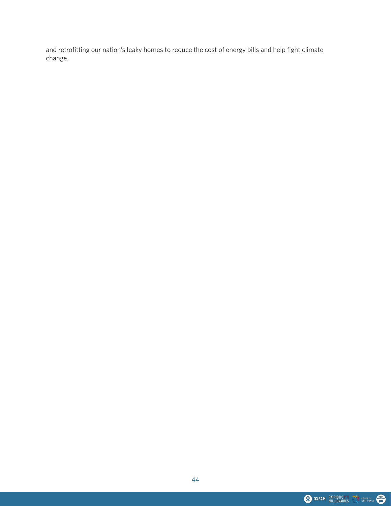and retrofitting our nation's leaky homes to reduce the cost of energy bills and help fight climate change.

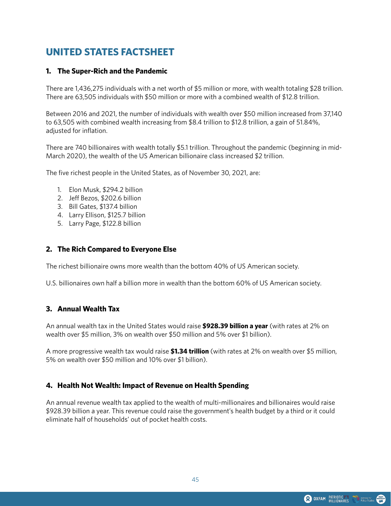# **UNITED STATES FACTSHEET**

#### **1. The Super-Rich and the Pandemic**

There are 1,436,275 individuals with a net worth of \$5 million or more, with wealth totaling \$28 trillion. There are 63,505 individuals with \$50 million or more with a combined wealth of \$12.8 trillion.

Between 2016 and 2021, the number of individuals with wealth over \$50 million increased from 37,140 to 63,505 with combined wealth increasing from \$8.4 trillion to \$12.8 trillion, a gain of 51.84%, adjusted for inflation.

There are 740 billionaires with wealth totally \$5.1 trillion. Throughout the pandemic (beginning in mid-March 2020), the wealth of the US American billionaire class increased \$2 trillion.

The five richest people in the United States, as of November 30, 2021, are:

- 1. Elon Musk, \$294.2 billion
- 2. Jeff Bezos, \$202.6 billion
- 3. Bill Gates, \$137.4 billion
- 4. Larry Ellison, \$125.7 billion
- 5. Larry Page, \$122.8 billion

#### **2. The Rich Compared to Everyone Else**

The richest billionaire owns more wealth than the bottom 40% of US American society.

U.S. billionaires own half a billion more in wealth than the bottom 60% of US American society.

#### **3. Annual Wealth Tax**

An annual wealth tax in the United States would raise **\$928.39 billion a year** (with rates at 2% on wealth over \$5 million, 3% on wealth over \$50 million and 5% over \$1 billion).

A more progressive wealth tax would raise **\$1.34 trillion** (with rates at 2% on wealth over \$5 million, 5% on wealth over \$50 million and 10% over \$1 billion).

#### **4. Health Not Wealth: Impact of Revenue on Health Spending**

An annual revenue wealth tax applied to the wealth of multi-millionaires and billionaires would raise \$928.39 billion a year. This revenue could raise the government's health budget by a third or it could eliminate half of households' out of pocket health costs.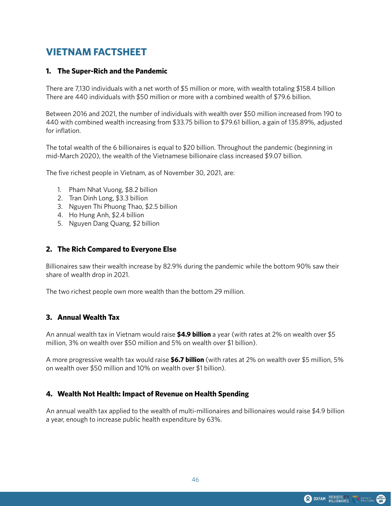# **VIETNAM FACTSHEET**

#### **1. The Super-Rich and the Pandemic**

There are 7,130 individuals with a net worth of \$5 million or more, with wealth totaling \$158.4 billion There are 440 individuals with \$50 million or more with a combined wealth of \$79.6 billion.

Between 2016 and 2021, the number of individuals with wealth over \$50 million increased from 190 to 440 with combined wealth increasing from \$33.75 billion to \$79.61 billion, a gain of 135.89%, adjusted for inflation.

The total wealth of the 6 billionaires is equal to \$20 billion. Throughout the pandemic (beginning in mid-March 2020), the wealth of the Vietnamese billionaire class increased \$9.07 billion.

The five richest people in Vietnam, as of November 30, 2021, are:

- 1. Pham Nhat Vuong, \$8.2 billion
- 2. Tran Dinh Long, \$3.3 billion
- 3. Nguyen Thi Phuong Thao, \$2.5 billion
- 4. Ho Hung Anh, \$2.4 billion
- 5. Nguyen Dang Quang, \$2 billion

#### **2. The Rich Compared to Everyone Else**

Billionaires saw their wealth increase by 82.9% during the pandemic while the bottom 90% saw their share of wealth drop in 2021.

The two richest people own more wealth than the bottom 29 million.

#### **3. Annual Wealth Tax**

An annual wealth tax in Vietnam would raise **\$4.9 billion** a year (with rates at 2% on wealth over \$5 million, 3% on wealth over \$50 million and 5% on wealth over \$1 billion).

A more progressive wealth tax would raise **\$6.7 billion** (with rates at 2% on wealth over \$5 million, 5% on wealth over \$50 million and 10% on wealth over \$1 billion).

# **4. Wealth Not Health: Impact of Revenue on Health Spending**

An annual wealth tax applied to the wealth of multi-millionaires and billionaires would raise \$4.9 billion a year, enough to increase public health expenditure by 63%.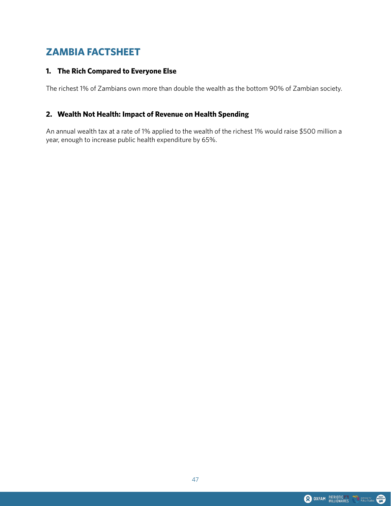# **ZAMBIA FACTSHEET**

# **1. The Rich Compared to Everyone Else**

The richest 1% of Zambians own more than double the wealth as the bottom 90% of Zambian society.

# **2. Wealth Not Health: Impact of Revenue on Health Spending**

An annual wealth tax at a rate of 1% applied to the wealth of the richest 1% would raise \$500 million a year, enough to increase public health expenditure by 65%.

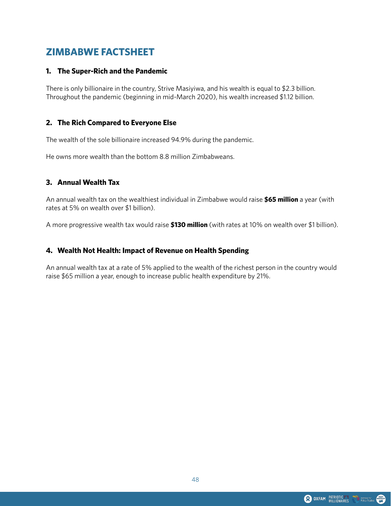# **ZIMBABWE FACTSHEET**

#### **1. The Super-Rich and the Pandemic**

There is only billionaire in the country, Strive Masiyiwa, and his wealth is equal to \$2.3 billion. Throughout the pandemic (beginning in mid-March 2020), his wealth increased \$1.12 billion.

# **2. The Rich Compared to Everyone Else**

The wealth of the sole billionaire increased 94.9% during the pandemic.

He owns more wealth than the bottom 8.8 million Zimbabweans.

#### **3. Annual Wealth Tax**

An annual wealth tax on the wealthiest individual in Zimbabwe would raise **\$65 million** a year (with rates at 5% on wealth over \$1 billion).

A more progressive wealth tax would raise **\$130 million** (with rates at 10% on wealth over \$1 billion).

#### **4. Wealth Not Health: Impact of Revenue on Health Spending**

An annual wealth tax at a rate of 5% applied to the wealth of the richest person in the country would raise \$65 million a year, enough to increase public health expenditure by 21%.

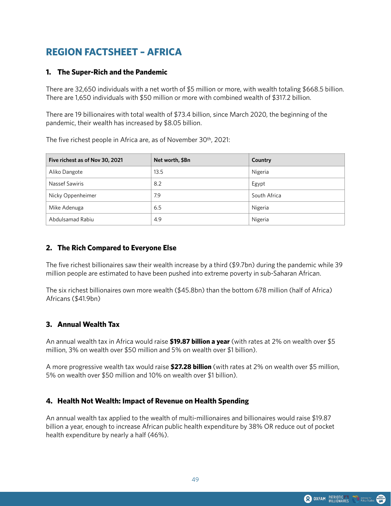# **REGION FACTSHEET – AFRICA**

# **1. The Super-Rich and the Pandemic**

There are 32,650 individuals with a net worth of \$5 million or more, with wealth totaling \$668.5 billion. There are 1,650 individuals with \$50 million or more with combined wealth of \$317.2 billion.

There are 19 billionaires with total wealth of \$73.4 billion, since March 2020, the beginning of the pandemic, their wealth has increased by \$8.05 billion.

The five richest people in Africa are, as of November 30th, 2021:

| Five richest as of Nov 30, 2021 | Net worth, \$Bn | Country      |
|---------------------------------|-----------------|--------------|
| Aliko Dangote                   | 13.5            | Nigeria      |
| Nassef Sawiris                  | 8.2             | Egypt        |
| Nicky Oppenheimer               | 7.9             | South Africa |
| Mike Adenuga                    | 6.5             | Nigeria      |
| Abdulsamad Rabiu                | 4.9             | Nigeria      |

# **2. The Rich Compared to Everyone Else**

The five richest billionaires saw their wealth increase by a third (\$9.7bn) during the pandemic while 39 million people are estimated to have been pushed into extreme poverty in sub-Saharan African.

The six richest billionaires own more wealth (\$45.8bn) than the bottom 678 million (half of Africa) Africans (\$41.9bn)

# **3. Annual Wealth Tax**

An annual wealth tax in Africa would raise **\$19.87 billion a year** (with rates at 2% on wealth over \$5 million, 3% on wealth over \$50 million and 5% on wealth over \$1 billion).

A more progressive wealth tax would raise **\$27.28 billion** (with rates at 2% on wealth over \$5 million, 5% on wealth over \$50 million and 10% on wealth over \$1 billion).

# **4. Health Not Wealth: Impact of Revenue on Health Spending**

An annual wealth tax applied to the wealth of multi-millionaires and billionaires would raise \$19.87 billion a year, enough to increase African public health expenditure by 38% OR reduce out of pocket health expenditure by nearly a half (46%).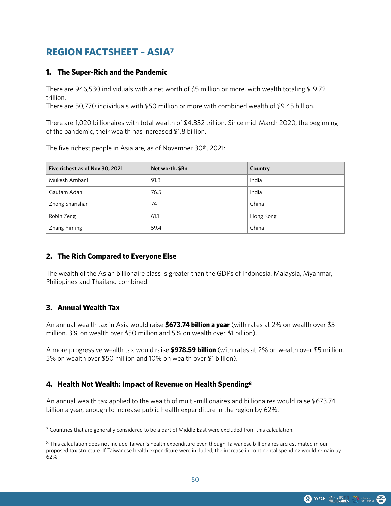# <span id="page-49-2"></span>**REGION FACTSHEET – ASI[A7](#page-49-0)**

# **1. The Super-Rich and the Pandemic**

There are 946,530 individuals with a net worth of \$5 million or more, with wealth totaling \$19.72 trillion.

There are 50,770 individuals with \$50 million or more with combined wealth of \$9.45 billion.

There are 1,020 billionaires with total wealth of \$4.352 trillion. Since mid-March 2020, the beginning of the pandemic, their wealth has increased \$1.8 billion.

The five richest people in Asia are, as of November 30th, 2021:

| Five richest as of Nov 30, 2021 | Net worth, \$Bn | Country   |
|---------------------------------|-----------------|-----------|
| Mukesh Ambani                   | 91.3            | India     |
| Gautam Adani                    | 76.5            | India     |
| Zhong Shanshan                  | 74              | China     |
| Robin Zeng                      | 61.1            | Hong Kong |
| Zhang Yiming                    | 59.4            | China     |

# **2. The Rich Compared to Everyone Else**

The wealth of the Asian billionaire class is greater than the GDPs of Indonesia, Malaysia, Myanmar, Philippines and Thailand combined.

# **3. Annual Wealth Tax**

An annual wealth tax in Asia would raise **\$673.74 billion a year** (with rates at 2% on wealth over \$5 million, 3% on wealth over \$50 million and 5% on wealth over \$1 billion).

A more progressive wealth tax would raise **\$978.59 billion** (with rates at 2% on wealth over \$5 million, 5% on wealth over \$50 million and 10% on wealth over \$1 billion).

# <span id="page-49-3"></span>**4. Health Not Wealth: Impact of Revenue on Health Spending[8](#page-49-1)**

An annual wealth tax applied to the wealth of multi-millionaires and billionaires would raise \$673.74 billion a year, enough to increase public health expenditure in the region by 62%.

<span id="page-49-0"></span> $\frac{7}{2}$  $\frac{7}{2}$  $\frac{7}{2}$  Countries that are generally considered to be a part of Middle East were excluded from this calculation.

<span id="page-49-1"></span>This calculation does not include Taiwan's health expenditure even though Taiwanese billionaires are estimated in our [8](#page-49-3) proposed tax structure. If Taiwanese health expenditure were included, the increase in continental spending would remain by 62%.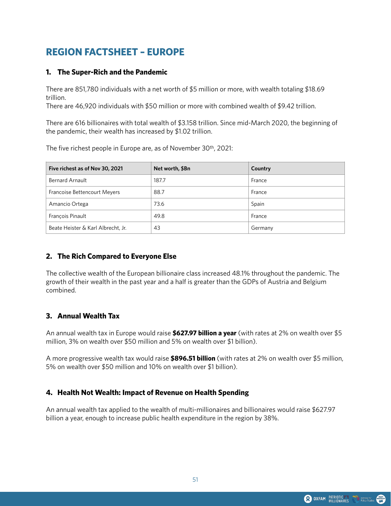# **REGION FACTSHEET – EUROPE**

### **1. The Super-Rich and the Pandemic**

There are 851,780 individuals with a net worth of \$5 million or more, with wealth totaling \$18.69 trillion.

There are 46,920 individuals with \$50 million or more with combined wealth of \$9.42 trillion.

There are 616 billionaires with total wealth of \$3.158 trillion. Since mid-March 2020, the beginning of the pandemic, their wealth has increased by \$1.02 trillion.

The five richest people in Europe are, as of November 30th, 2021:

| Five richest as of Nov 30, 2021    | Net worth, \$Bn | Country |
|------------------------------------|-----------------|---------|
| <b>Bernard Arnault</b>             | 187.7           | France  |
| Francoise Bettencourt Meyers       | 88.7            | France  |
| Amancio Ortega                     | 73.6            | Spain   |
| Francois Pinault                   | 49.8            | France  |
| Beate Heister & Karl Albrecht, Jr. | 43              | Germany |

# **2. The Rich Compared to Everyone Else**

The collective wealth of the European billionaire class increased 48.1% throughout the pandemic. The growth of their wealth in the past year and a half is greater than the GDPs of Austria and Belgium combined.

# **3. Annual Wealth Tax**

An annual wealth tax in Europe would raise **\$627.97 billion a year** (with rates at 2% on wealth over \$5 million, 3% on wealth over \$50 million and 5% on wealth over \$1 billion).

A more progressive wealth tax would raise **\$896.51 billion** (with rates at 2% on wealth over \$5 million, 5% on wealth over \$50 million and 10% on wealth over \$1 billion).

# **4. Health Not Wealth: Impact of Revenue on Health Spending**

An annual wealth tax applied to the wealth of multi-millionaires and billionaires would raise \$627.97 billion a year, enough to increase public health expenditure in the region by 38%.